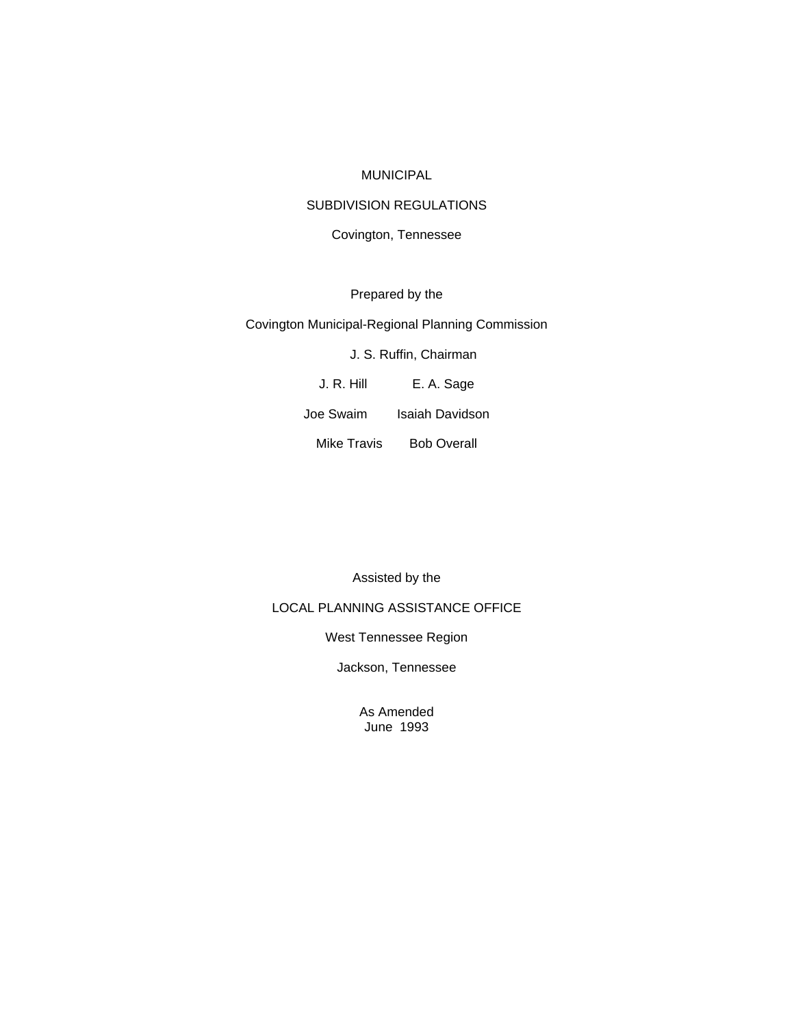#### MUNICIPAL

## SUBDIVISION REGULATIONS

### Covington, Tennessee

# Prepared by the

#### Covington Municipal-Regional Planning Commission

# J. S. Ruffin, Chairman

J. R. Hill E. A. Sage

Joe Swaim Isaiah Davidson

Mike Travis Bob Overall

Assisted by the

## LOCAL PLANNING ASSISTANCE OFFICE

West Tennessee Region

Jackson, Tennessee

As Amended June 1993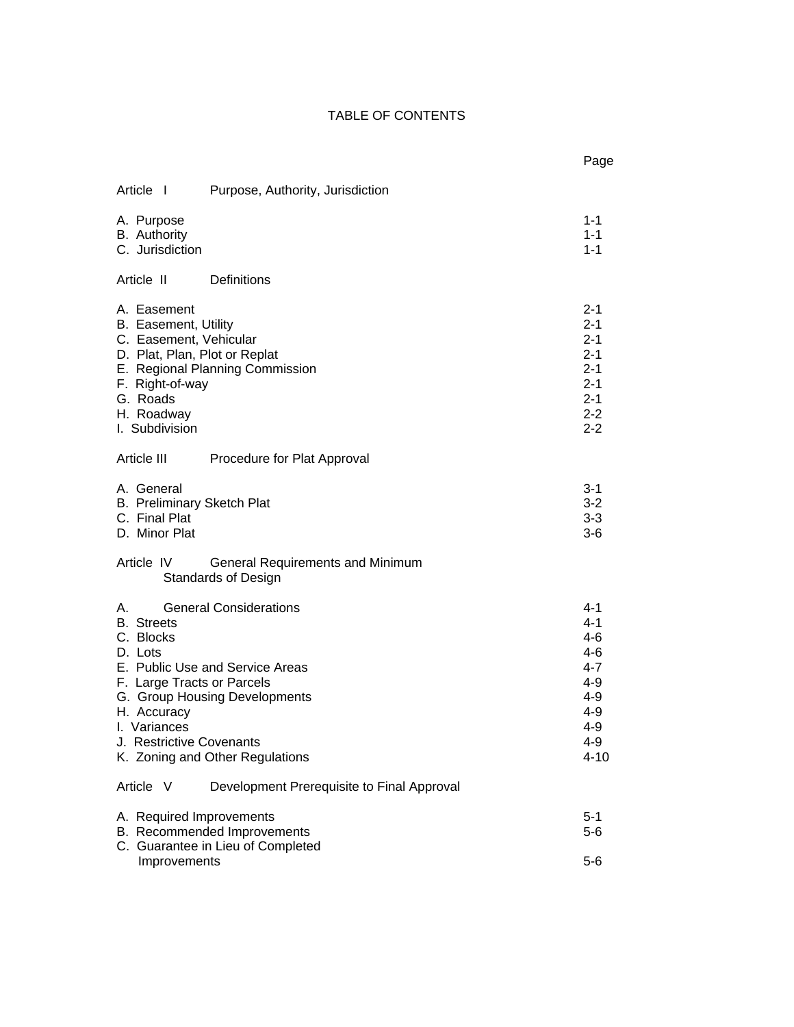# TABLE OF CONTENTS

|                                                                                                                                                                                                                                                                                                                                             | Page                                                                                               |
|---------------------------------------------------------------------------------------------------------------------------------------------------------------------------------------------------------------------------------------------------------------------------------------------------------------------------------------------|----------------------------------------------------------------------------------------------------|
| Article I<br>Purpose, Authority, Jurisdiction                                                                                                                                                                                                                                                                                               |                                                                                                    |
| A. Purpose<br><b>B.</b> Authority<br>C. Jurisdiction                                                                                                                                                                                                                                                                                        | 1-1<br>$1 - 1$<br>$1 - 1$                                                                          |
| Definitions<br>Article II                                                                                                                                                                                                                                                                                                                   |                                                                                                    |
| A. Easement<br>B. Easement, Utility<br>C. Easement, Vehicular<br>D. Plat, Plan, Plot or Replat<br>E. Regional Planning Commission<br>F. Right-of-way<br>G. Roads<br>H. Roadway<br>I. Subdivision                                                                                                                                            | 2-1<br>$2 - 1$<br>$2 - 1$<br>$2 - 1$<br>$2 - 1$<br>$2 - 1$<br>$2 - 1$<br>$2 - 2$<br>$2 - 2$        |
| Article III<br>Procedure for Plat Approval                                                                                                                                                                                                                                                                                                  |                                                                                                    |
| A. General<br><b>B.</b> Preliminary Sketch Plat<br>C. Final Plat<br>D. Minor Plat                                                                                                                                                                                                                                                           | $3 - 1$<br>$3 - 2$<br>$3 - 3$<br>$3-6$                                                             |
| Article IV<br>General Requirements and Minimum<br><b>Standards of Design</b>                                                                                                                                                                                                                                                                |                                                                                                    |
| <b>General Considerations</b><br>А.<br><b>B.</b> Streets<br>C. Blocks<br>D. Lots<br>E. Public Use and Service Areas<br>F. Large Tracts or Parcels<br>G. Group Housing Developments<br>H. Accuracy<br>I. Variances<br>J. Restrictive Covenants<br>K. Zoning and Other Regulations<br>Article V<br>Development Prerequisite to Final Approval | 4-1<br>$4 - 1$<br>$4 - 6$<br>$4 - 6$<br>$4 - 7$<br>$4 - 9$<br>4-9<br>$4 - 9$<br>4-9<br>4-9<br>4-10 |
|                                                                                                                                                                                                                                                                                                                                             |                                                                                                    |
| A. Required Improvements<br>B. Recommended Improvements<br>C. Guarantee in Lieu of Completed                                                                                                                                                                                                                                                | $5 - 1$<br>$5-6$                                                                                   |
| Improvements                                                                                                                                                                                                                                                                                                                                | $5-6$                                                                                              |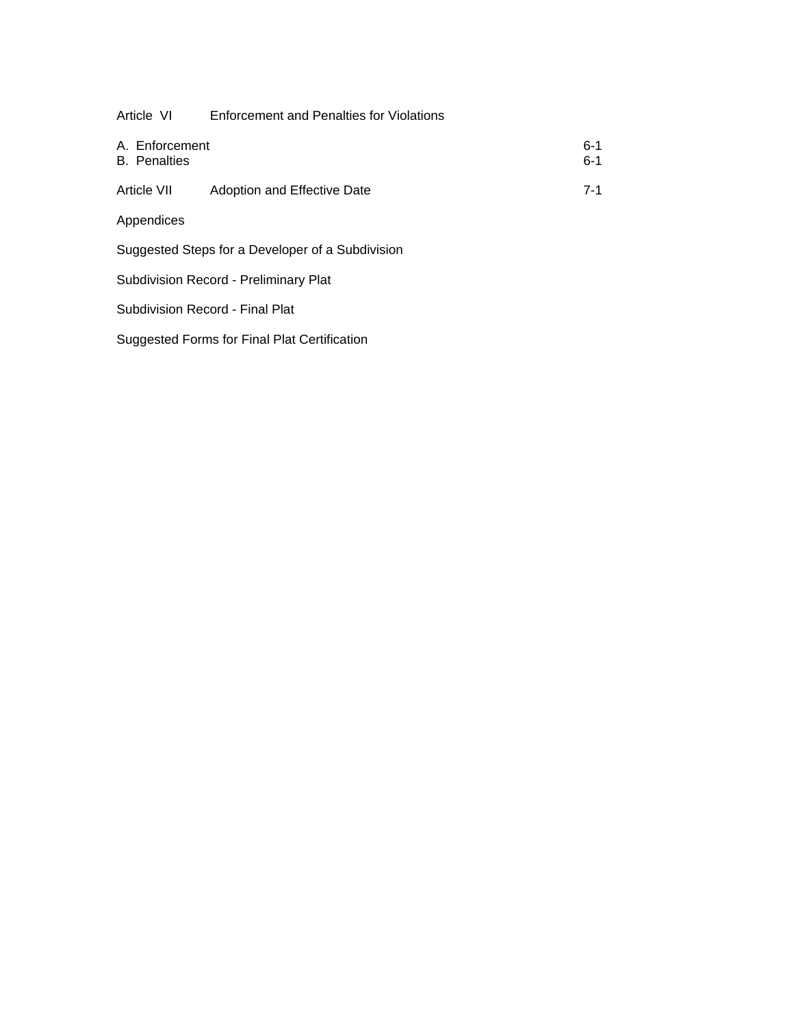| Article VI                            | Enforcement and Penalties for Violations         |                    |
|---------------------------------------|--------------------------------------------------|--------------------|
| A. Enforcement<br><b>B.</b> Penalties |                                                  | $6 - 1$<br>$6 - 1$ |
| Article VII                           | Adoption and Effective Date                      | $7 - 1$            |
| Appendices                            |                                                  |                    |
|                                       | Suggested Steps for a Developer of a Subdivision |                    |
|                                       | Subdivision Record - Preliminary Plat            |                    |

Subdivision Record - Final Plat

Suggested Forms for Final Plat Certification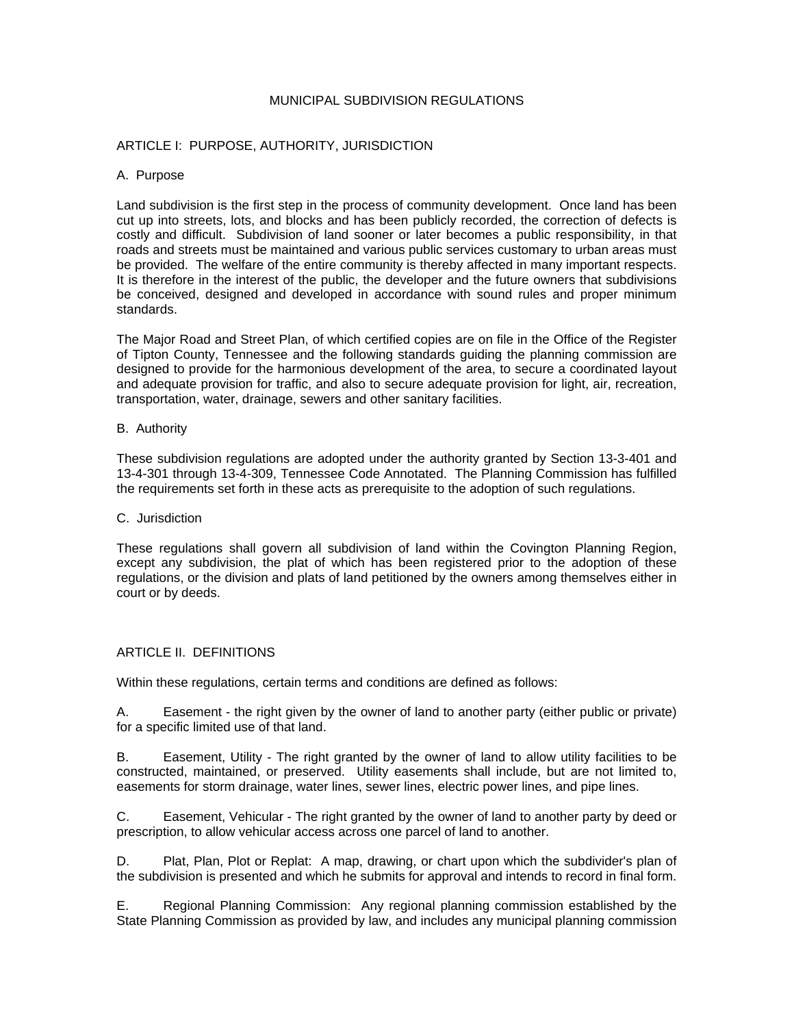### MUNICIPAL SUBDIVISION REGULATIONS

### ARTICLE I: PURPOSE, AUTHORITY, JURISDICTION

#### A. Purpose

Land subdivision is the first step in the process of community development. Once land has been cut up into streets, lots, and blocks and has been publicly recorded, the correction of defects is costly and difficult. Subdivision of land sooner or later becomes a public responsibility, in that roads and streets must be maintained and various public services customary to urban areas must be provided. The welfare of the entire community is thereby affected in many important respects. It is therefore in the interest of the public, the developer and the future owners that subdivisions be conceived, designed and developed in accordance with sound rules and proper minimum standards.

The Major Road and Street Plan, of which certified copies are on file in the Office of the Register of Tipton County, Tennessee and the following standards guiding the planning commission are designed to provide for the harmonious development of the area, to secure a coordinated layout and adequate provision for traffic, and also to secure adequate provision for light, air, recreation, transportation, water, drainage, sewers and other sanitary facilities.

#### B. Authority

These subdivision regulations are adopted under the authority granted by Section 13-3-401 and 13-4-301 through 13-4-309, Tennessee Code Annotated. The Planning Commission has fulfilled the requirements set forth in these acts as prerequisite to the adoption of such regulations.

#### C. Jurisdiction

These regulations shall govern all subdivision of land within the Covington Planning Region, except any subdivision, the plat of which has been registered prior to the adoption of these regulations, or the division and plats of land petitioned by the owners among themselves either in court or by deeds.

### ARTICLE II. DEFINITIONS

Within these regulations, certain terms and conditions are defined as follows:

A. Easement - the right given by the owner of land to another party (either public or private) for a specific limited use of that land.

B. Easement, Utility - The right granted by the owner of land to allow utility facilities to be constructed, maintained, or preserved. Utility easements shall include, but are not limited to, easements for storm drainage, water lines, sewer lines, electric power lines, and pipe lines.

C. Easement, Vehicular - The right granted by the owner of land to another party by deed or prescription, to allow vehicular access across one parcel of land to another.

D. Plat, Plan, Plot or Replat: A map, drawing, or chart upon which the subdivider's plan of the subdivision is presented and which he submits for approval and intends to record in final form.

E. Regional Planning Commission: Any regional planning commission established by the State Planning Commission as provided by law, and includes any municipal planning commission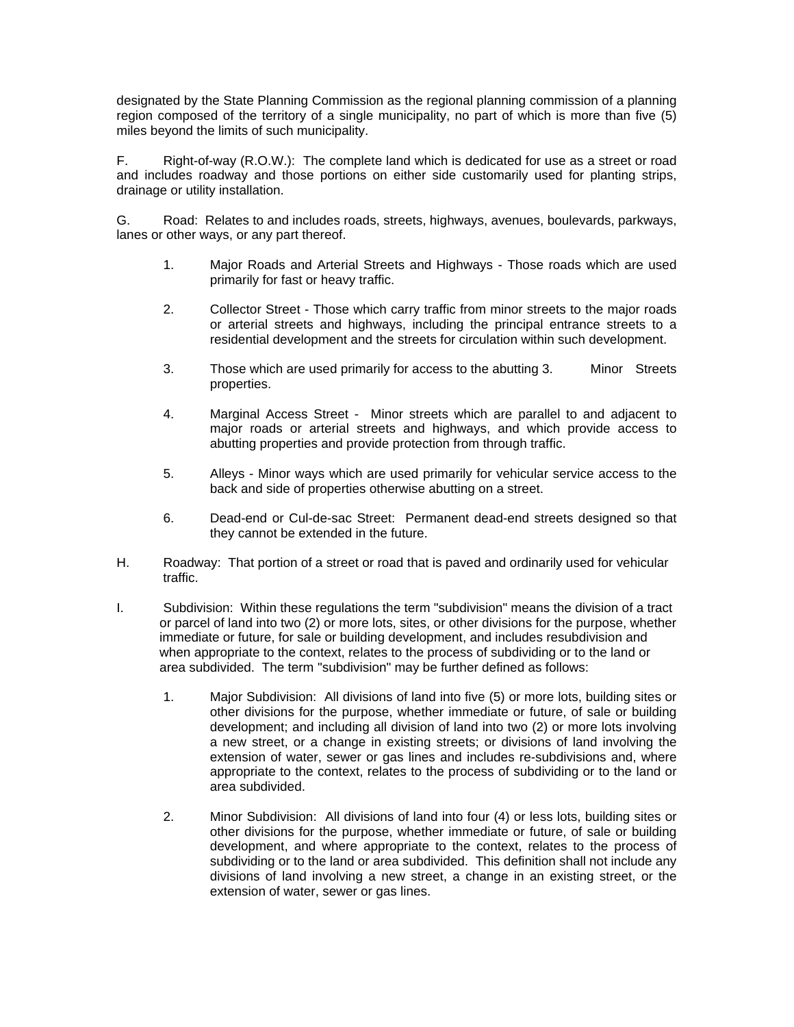designated by the State Planning Commission as the regional planning commission of a planning region composed of the territory of a single municipality, no part of which is more than five (5) miles beyond the limits of such municipality.

F. Right-of-way (R.O.W.): The complete land which is dedicated for use as a street or road and includes roadway and those portions on either side customarily used for planting strips, drainage or utility installation.

G. Road: Relates to and includes roads, streets, highways, avenues, boulevards, parkways, lanes or other ways, or any part thereof.

- 1. Major Roads and Arterial Streets and Highways Those roads which are used primarily for fast or heavy traffic.
- 2. Collector Street Those which carry traffic from minor streets to the major roads or arterial streets and highways, including the principal entrance streets to a residential development and the streets for circulation within such development.
- 3. Those which are used primarily for access to the abutting 3. Minor Streets properties.
- 4. Marginal Access Street Minor streets which are parallel to and adjacent to major roads or arterial streets and highways, and which provide access to abutting properties and provide protection from through traffic.
- 5. Alleys Minor ways which are used primarily for vehicular service access to the back and side of properties otherwise abutting on a street.
- 6. Dead-end or Cul-de-sac Street: Permanent dead-end streets designed so that they cannot be extended in the future.
- H. Roadway: That portion of a street or road that is paved and ordinarily used for vehicular traffic.
- I. Subdivision: Within these regulations the term "subdivision" means the division of a tract or parcel of land into two (2) or more lots, sites, or other divisions for the purpose, whether immediate or future, for sale or building development, and includes resubdivision and when appropriate to the context, relates to the process of subdividing or to the land or area subdivided. The term "subdivision" may be further defined as follows:
	- 1. Major Subdivision: All divisions of land into five (5) or more lots, building sites or other divisions for the purpose, whether immediate or future, of sale or building development; and including all division of land into two (2) or more lots involving a new street, or a change in existing streets; or divisions of land involving the extension of water, sewer or gas lines and includes re-subdivisions and, where appropriate to the context, relates to the process of subdividing or to the land or area subdivided.
	- 2. Minor Subdivision: All divisions of land into four (4) or less lots, building sites or other divisions for the purpose, whether immediate or future, of sale or building development, and where appropriate to the context, relates to the process of subdividing or to the land or area subdivided. This definition shall not include any divisions of land involving a new street, a change in an existing street, or the extension of water, sewer or gas lines.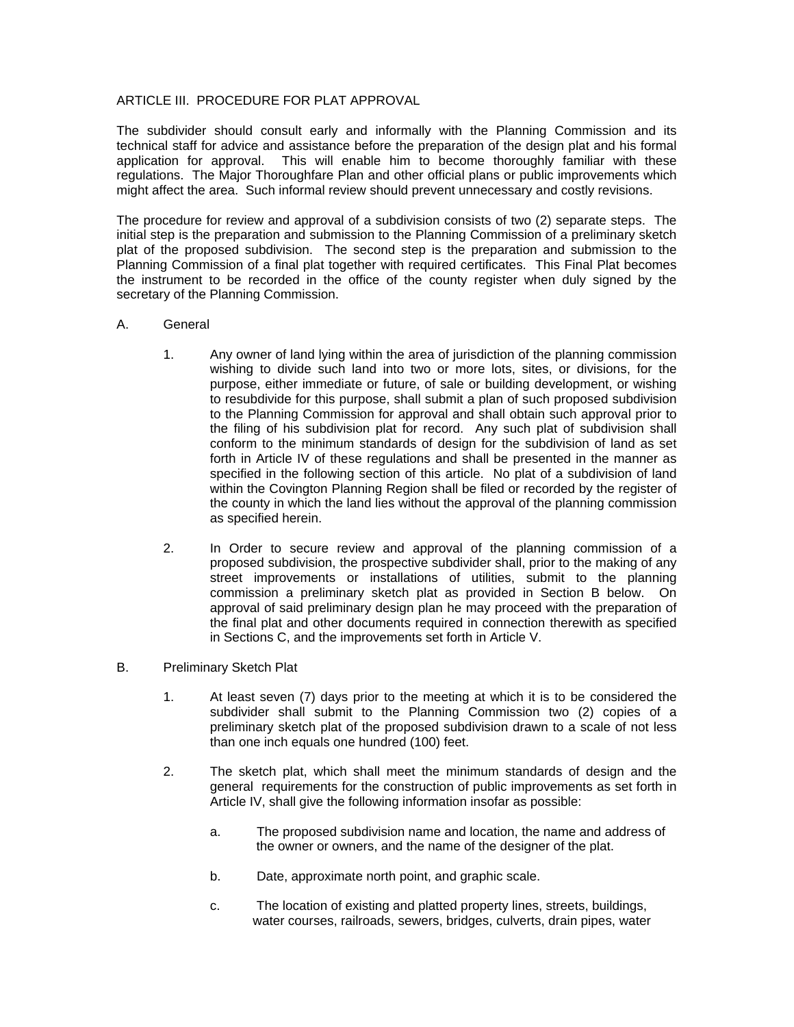### ARTICLE III. PROCEDURE FOR PLAT APPROVAL

The subdivider should consult early and informally with the Planning Commission and its technical staff for advice and assistance before the preparation of the design plat and his formal application for approval. This will enable him to become thoroughly familiar with these regulations. The Major Thoroughfare Plan and other official plans or public improvements which might affect the area. Such informal review should prevent unnecessary and costly revisions.

The procedure for review and approval of a subdivision consists of two (2) separate steps. The initial step is the preparation and submission to the Planning Commission of a preliminary sketch plat of the proposed subdivision. The second step is the preparation and submission to the Planning Commission of a final plat together with required certificates. This Final Plat becomes the instrument to be recorded in the office of the county register when duly signed by the secretary of the Planning Commission.

### A. General

- 1. Any owner of land lying within the area of jurisdiction of the planning commission wishing to divide such land into two or more lots, sites, or divisions, for the purpose, either immediate or future, of sale or building development, or wishing to resubdivide for this purpose, shall submit a plan of such proposed subdivision to the Planning Commission for approval and shall obtain such approval prior to the filing of his subdivision plat for record. Any such plat of subdivision shall conform to the minimum standards of design for the subdivision of land as set forth in Article IV of these regulations and shall be presented in the manner as specified in the following section of this article. No plat of a subdivision of land within the Covington Planning Region shall be filed or recorded by the register of the county in which the land lies without the approval of the planning commission as specified herein.
- 2. In Order to secure review and approval of the planning commission of a proposed subdivision, the prospective subdivider shall, prior to the making of any street improvements or installations of utilities, submit to the planning commission a preliminary sketch plat as provided in Section B below. On approval of said preliminary design plan he may proceed with the preparation of the final plat and other documents required in connection therewith as specified in Sections C, and the improvements set forth in Article V.
- B. Preliminary Sketch Plat
	- 1. At least seven (7) days prior to the meeting at which it is to be considered the subdivider shall submit to the Planning Commission two (2) copies of a preliminary sketch plat of the proposed subdivision drawn to a scale of not less than one inch equals one hundred (100) feet.
	- 2. The sketch plat, which shall meet the minimum standards of design and the general requirements for the construction of public improvements as set forth in Article IV, shall give the following information insofar as possible:
		- a. The proposed subdivision name and location, the name and address of the owner or owners, and the name of the designer of the plat.
		- b. Date, approximate north point, and graphic scale.
		- c. The location of existing and platted property lines, streets, buildings, water courses, railroads, sewers, bridges, culverts, drain pipes, water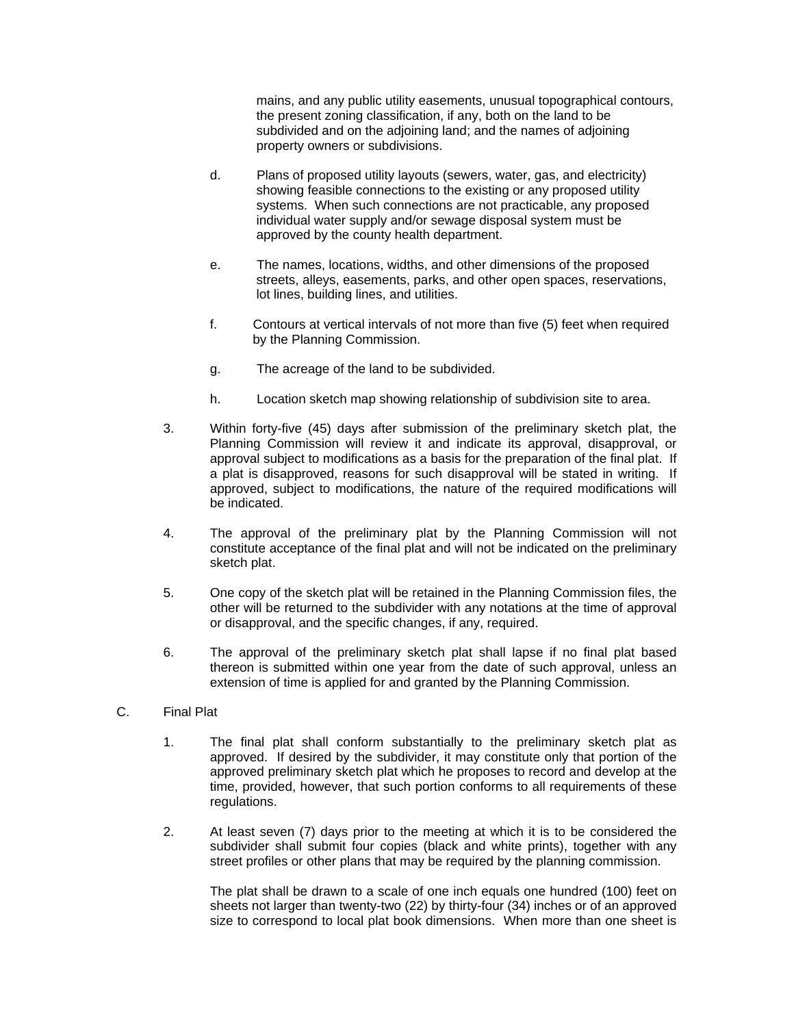mains, and any public utility easements, unusual topographical contours, the present zoning classification, if any, both on the land to be subdivided and on the adjoining land; and the names of adjoining property owners or subdivisions.

- d. Plans of proposed utility layouts (sewers, water, gas, and electricity) showing feasible connections to the existing or any proposed utility systems. When such connections are not practicable, any proposed individual water supply and/or sewage disposal system must be approved by the county health department.
- e. The names, locations, widths, and other dimensions of the proposed streets, alleys, easements, parks, and other open spaces, reservations, lot lines, building lines, and utilities.
- f. Contours at vertical intervals of not more than five (5) feet when required by the Planning Commission.
- g. The acreage of the land to be subdivided.
- h. Location sketch map showing relationship of subdivision site to area.
- 3. Within forty-five (45) days after submission of the preliminary sketch plat, the Planning Commission will review it and indicate its approval, disapproval, or approval subject to modifications as a basis for the preparation of the final plat. If a plat is disapproved, reasons for such disapproval will be stated in writing. If approved, subject to modifications, the nature of the required modifications will be indicated.
- 4. The approval of the preliminary plat by the Planning Commission will not constitute acceptance of the final plat and will not be indicated on the preliminary sketch plat.
- 5. One copy of the sketch plat will be retained in the Planning Commission files, the other will be returned to the subdivider with any notations at the time of approval or disapproval, and the specific changes, if any, required.
- 6. The approval of the preliminary sketch plat shall lapse if no final plat based thereon is submitted within one year from the date of such approval, unless an extension of time is applied for and granted by the Planning Commission.
- C. Final Plat
	- 1. The final plat shall conform substantially to the preliminary sketch plat as approved. If desired by the subdivider, it may constitute only that portion of the approved preliminary sketch plat which he proposes to record and develop at the time, provided, however, that such portion conforms to all requirements of these regulations.
	- 2. At least seven (7) days prior to the meeting at which it is to be considered the subdivider shall submit four copies (black and white prints), together with any street profiles or other plans that may be required by the planning commission.

 The plat shall be drawn to a scale of one inch equals one hundred (100) feet on sheets not larger than twenty-two (22) by thirty-four (34) inches or of an approved size to correspond to local plat book dimensions. When more than one sheet is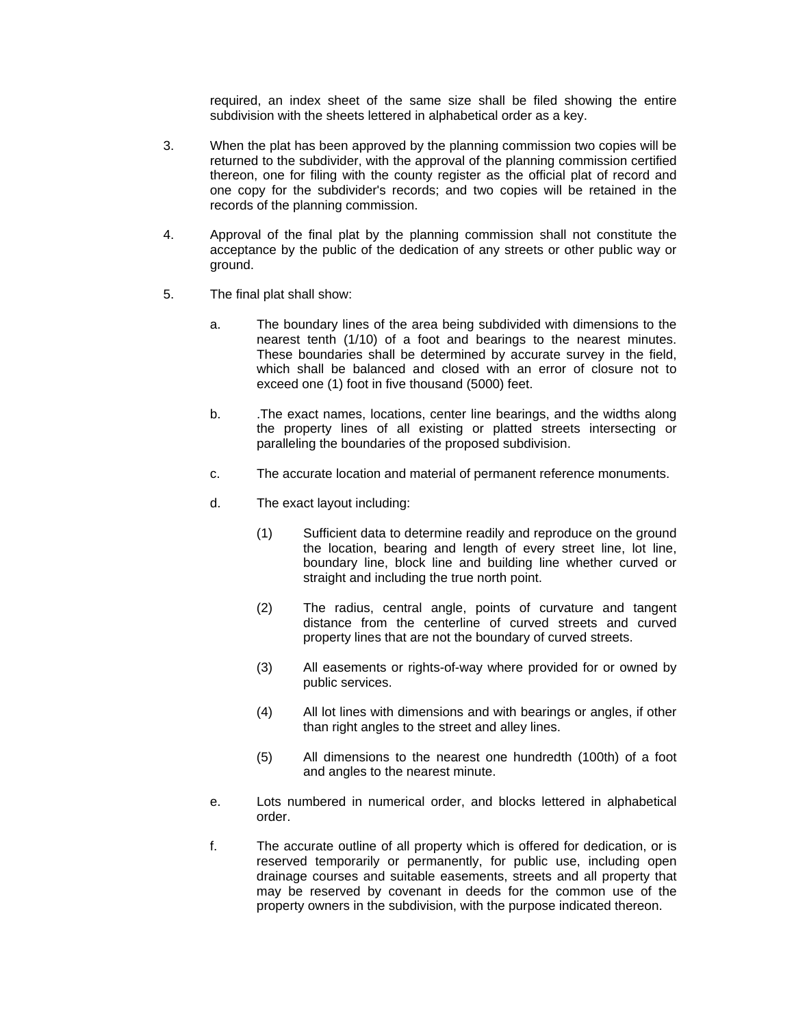required, an index sheet of the same size shall be filed showing the entire subdivision with the sheets lettered in alphabetical order as a key.

- 3. When the plat has been approved by the planning commission two copies will be returned to the subdivider, with the approval of the planning commission certified thereon, one for filing with the county register as the official plat of record and one copy for the subdivider's records; and two copies will be retained in the records of the planning commission.
- 4. Approval of the final plat by the planning commission shall not constitute the acceptance by the public of the dedication of any streets or other public way or ground.
- 5. The final plat shall show:
	- a. The boundary lines of the area being subdivided with dimensions to the nearest tenth (1/10) of a foot and bearings to the nearest minutes. These boundaries shall be determined by accurate survey in the field, which shall be balanced and closed with an error of closure not to exceed one (1) foot in five thousand (5000) feet.
	- b. .The exact names, locations, center line bearings, and the widths along the property lines of all existing or platted streets intersecting or paralleling the boundaries of the proposed subdivision.
	- c. The accurate location and material of permanent reference monuments.
	- d. The exact layout including:
		- (1) Sufficient data to determine readily and reproduce on the ground the location, bearing and length of every street line, lot line, boundary line, block line and building line whether curved or straight and including the true north point.
		- (2) The radius, central angle, points of curvature and tangent distance from the centerline of curved streets and curved property lines that are not the boundary of curved streets.
		- (3) All easements or rights-of-way where provided for or owned by public services.
		- (4) All lot lines with dimensions and with bearings or angles, if other than right angles to the street and alley lines.
		- (5) All dimensions to the nearest one hundredth (100th) of a foot and angles to the nearest minute.
	- e. Lots numbered in numerical order, and blocks lettered in alphabetical order.
	- f. The accurate outline of all property which is offered for dedication, or is reserved temporarily or permanently, for public use, including open drainage courses and suitable easements, streets and all property that may be reserved by covenant in deeds for the common use of the property owners in the subdivision, with the purpose indicated thereon.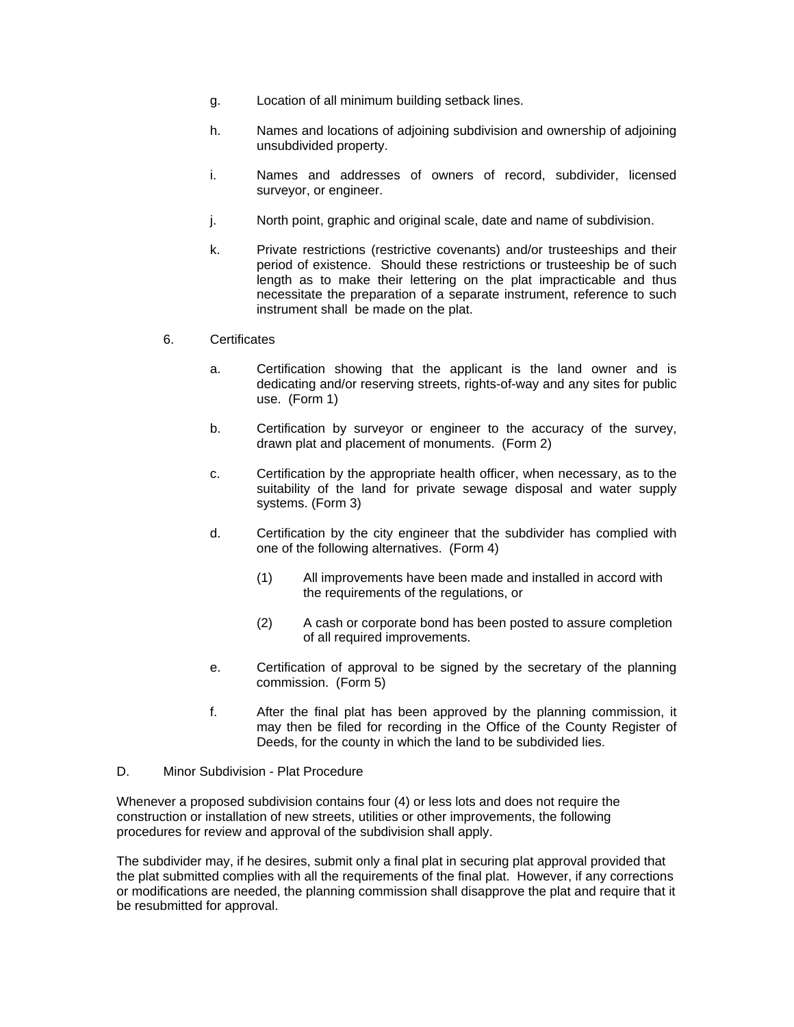- g. Location of all minimum building setback lines.
- h. Names and locations of adjoining subdivision and ownership of adjoining unsubdivided property.
- i. Names and addresses of owners of record, subdivider, licensed surveyor, or engineer.
- j. North point, graphic and original scale, date and name of subdivision.
- k. Private restrictions (restrictive covenants) and/or trusteeships and their period of existence. Should these restrictions or trusteeship be of such length as to make their lettering on the plat impracticable and thus necessitate the preparation of a separate instrument, reference to such instrument shall be made on the plat.

### 6. Certificates

- a. Certification showing that the applicant is the land owner and is dedicating and/or reserving streets, rights-of-way and any sites for public use. (Form 1)
- b. Certification by surveyor or engineer to the accuracy of the survey, drawn plat and placement of monuments. (Form 2)
- c. Certification by the appropriate health officer, when necessary, as to the suitability of the land for private sewage disposal and water supply systems. (Form 3)
- d. Certification by the city engineer that the subdivider has complied with one of the following alternatives. (Form 4)
	- (1) All improvements have been made and installed in accord with the requirements of the regulations, or
	- (2) A cash or corporate bond has been posted to assure completion of all required improvements.
- e. Certification of approval to be signed by the secretary of the planning commission. (Form 5)
- f. After the final plat has been approved by the planning commission, it may then be filed for recording in the Office of the County Register of Deeds, for the county in which the land to be subdivided lies.
- D. Minor Subdivision Plat Procedure

Whenever a proposed subdivision contains four (4) or less lots and does not require the construction or installation of new streets, utilities or other improvements, the following procedures for review and approval of the subdivision shall apply.

The subdivider may, if he desires, submit only a final plat in securing plat approval provided that the plat submitted complies with all the requirements of the final plat. However, if any corrections or modifications are needed, the planning commission shall disapprove the plat and require that it be resubmitted for approval.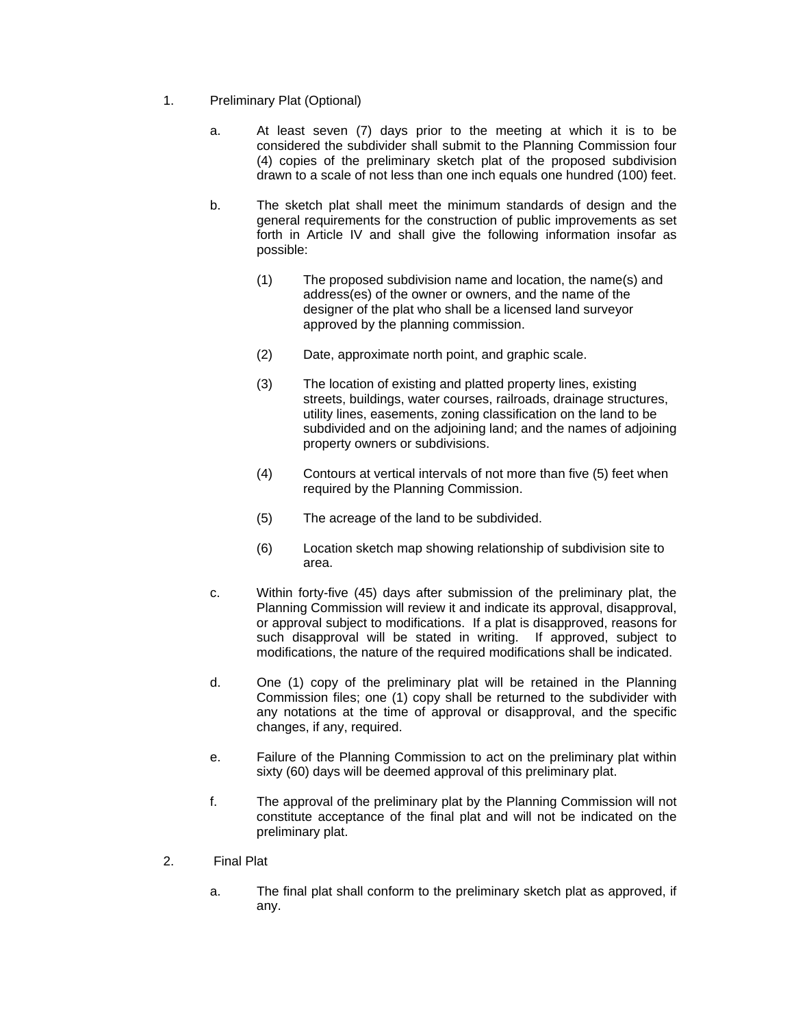- 1. Preliminary Plat (Optional)
	- a. At least seven (7) days prior to the meeting at which it is to be considered the subdivider shall submit to the Planning Commission four (4) copies of the preliminary sketch plat of the proposed subdivision drawn to a scale of not less than one inch equals one hundred (100) feet.
	- b. The sketch plat shall meet the minimum standards of design and the general requirements for the construction of public improvements as set forth in Article IV and shall give the following information insofar as possible:
		- (1) The proposed subdivision name and location, the name(s) and address(es) of the owner or owners, and the name of the designer of the plat who shall be a licensed land surveyor approved by the planning commission.
		- (2) Date, approximate north point, and graphic scale.
		- (3) The location of existing and platted property lines, existing streets, buildings, water courses, railroads, drainage structures, utility lines, easements, zoning classification on the land to be subdivided and on the adjoining land; and the names of adjoining property owners or subdivisions.
		- (4) Contours at vertical intervals of not more than five (5) feet when required by the Planning Commission.
		- (5) The acreage of the land to be subdivided.
		- (6) Location sketch map showing relationship of subdivision site to area.
	- c. Within forty-five (45) days after submission of the preliminary plat, the Planning Commission will review it and indicate its approval, disapproval, or approval subject to modifications. If a plat is disapproved, reasons for such disapproval will be stated in writing. If approved, subject to modifications, the nature of the required modifications shall be indicated.
	- d. One (1) copy of the preliminary plat will be retained in the Planning Commission files; one (1) copy shall be returned to the subdivider with any notations at the time of approval or disapproval, and the specific changes, if any, required.
	- e. Failure of the Planning Commission to act on the preliminary plat within sixty (60) days will be deemed approval of this preliminary plat.
	- f. The approval of the preliminary plat by the Planning Commission will not constitute acceptance of the final plat and will not be indicated on the preliminary plat.
- 2. Final Plat
	- a. The final plat shall conform to the preliminary sketch plat as approved, if any.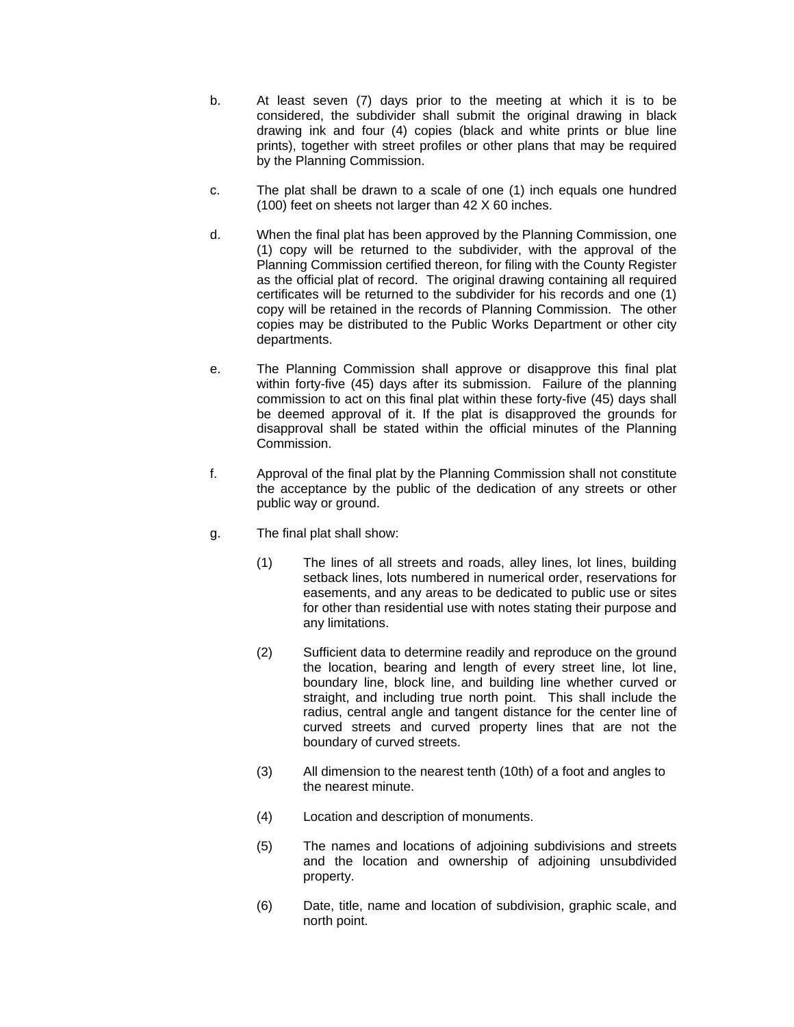- b. At least seven (7) days prior to the meeting at which it is to be considered, the subdivider shall submit the original drawing in black drawing ink and four (4) copies (black and white prints or blue line prints), together with street profiles or other plans that may be required by the Planning Commission.
- c. The plat shall be drawn to a scale of one (1) inch equals one hundred (100) feet on sheets not larger than 42 X 60 inches.
- d. When the final plat has been approved by the Planning Commission, one (1) copy will be returned to the subdivider, with the approval of the Planning Commission certified thereon, for filing with the County Register as the official plat of record. The original drawing containing all required certificates will be returned to the subdivider for his records and one (1) copy will be retained in the records of Planning Commission. The other copies may be distributed to the Public Works Department or other city departments.
- e. The Planning Commission shall approve or disapprove this final plat within forty-five (45) days after its submission. Failure of the planning commission to act on this final plat within these forty-five (45) days shall be deemed approval of it. If the plat is disapproved the grounds for disapproval shall be stated within the official minutes of the Planning Commission.
- f. Approval of the final plat by the Planning Commission shall not constitute the acceptance by the public of the dedication of any streets or other public way or ground.
- g. The final plat shall show:
	- (1) The lines of all streets and roads, alley lines, lot lines, building setback lines, lots numbered in numerical order, reservations for easements, and any areas to be dedicated to public use or sites for other than residential use with notes stating their purpose and any limitations.
	- (2) Sufficient data to determine readily and reproduce on the ground the location, bearing and length of every street line, lot line, boundary line, block line, and building line whether curved or straight, and including true north point. This shall include the radius, central angle and tangent distance for the center line of curved streets and curved property lines that are not the boundary of curved streets.
	- (3) All dimension to the nearest tenth (10th) of a foot and angles to the nearest minute.
	- (4) Location and description of monuments.
	- (5) The names and locations of adjoining subdivisions and streets and the location and ownership of adjoining unsubdivided property.
	- (6) Date, title, name and location of subdivision, graphic scale, and north point.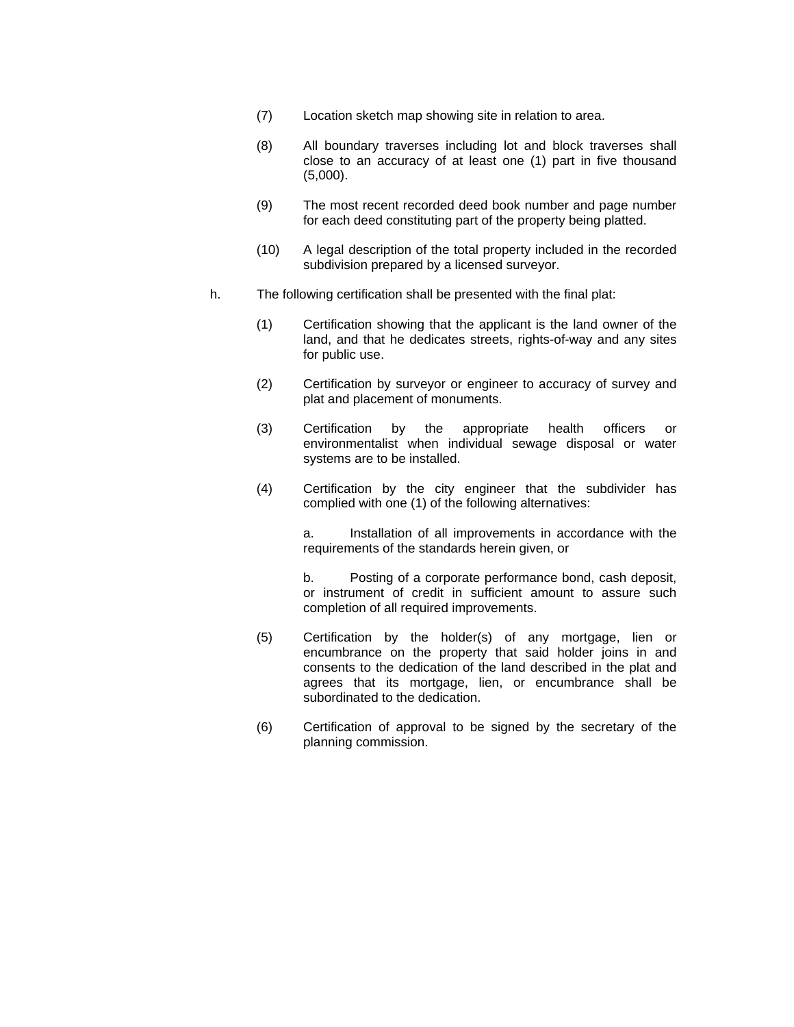- (7) Location sketch map showing site in relation to area.
- (8) All boundary traverses including lot and block traverses shall close to an accuracy of at least one (1) part in five thousand (5,000).
- (9) The most recent recorded deed book number and page number for each deed constituting part of the property being platted.
- (10) A legal description of the total property included in the recorded subdivision prepared by a licensed surveyor.
- h. The following certification shall be presented with the final plat:
	- (1) Certification showing that the applicant is the land owner of the land, and that he dedicates streets, rights-of-way and any sites for public use.
	- (2) Certification by surveyor or engineer to accuracy of survey and plat and placement of monuments.
	- (3) Certification by the appropriate health officers or environmentalist when individual sewage disposal or water systems are to be installed.
	- (4) Certification by the city engineer that the subdivider has complied with one (1) of the following alternatives:

 a. Installation of all improvements in accordance with the requirements of the standards herein given, or

 b. Posting of a corporate performance bond, cash deposit, or instrument of credit in sufficient amount to assure such completion of all required improvements.

- (5) Certification by the holder(s) of any mortgage, lien or encumbrance on the property that said holder joins in and consents to the dedication of the land described in the plat and agrees that its mortgage, lien, or encumbrance shall be subordinated to the dedication.
- (6) Certification of approval to be signed by the secretary of the planning commission.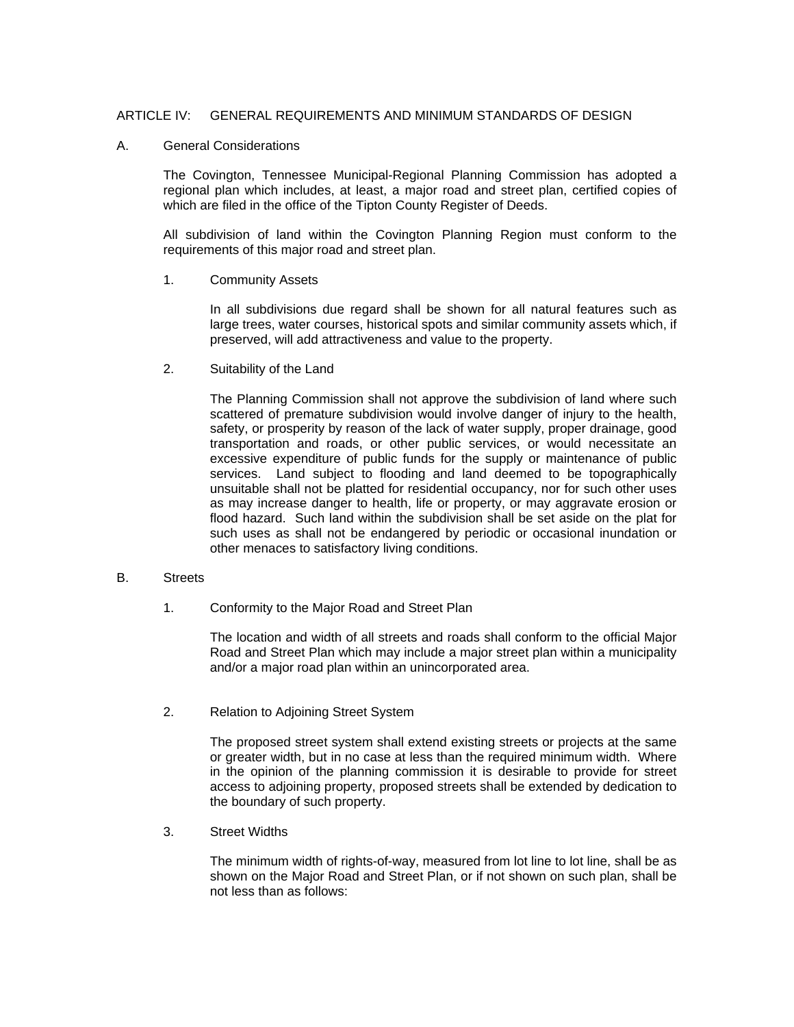### ARTICLE IV: GENERAL REQUIREMENTS AND MINIMUM STANDARDS OF DESIGN

#### A. General Considerations

The Covington, Tennessee Municipal-Regional Planning Commission has adopted a regional plan which includes, at least, a major road and street plan, certified copies of which are filed in the office of the Tipton County Register of Deeds.

All subdivision of land within the Covington Planning Region must conform to the requirements of this major road and street plan.

1. Community Assets

In all subdivisions due regard shall be shown for all natural features such as large trees, water courses, historical spots and similar community assets which, if preserved, will add attractiveness and value to the property.

2. Suitability of the Land

The Planning Commission shall not approve the subdivision of land where such scattered of premature subdivision would involve danger of injury to the health, safety, or prosperity by reason of the lack of water supply, proper drainage, good transportation and roads, or other public services, or would necessitate an excessive expenditure of public funds for the supply or maintenance of public services. Land subject to flooding and land deemed to be topographically unsuitable shall not be platted for residential occupancy, nor for such other uses as may increase danger to health, life or property, or may aggravate erosion or flood hazard. Such land within the subdivision shall be set aside on the plat for such uses as shall not be endangered by periodic or occasional inundation or other menaces to satisfactory living conditions.

### B. Streets

1. Conformity to the Major Road and Street Plan

 The location and width of all streets and roads shall conform to the official Major Road and Street Plan which may include a major street plan within a municipality and/or a major road plan within an unincorporated area.

2. Relation to Adjoining Street System

The proposed street system shall extend existing streets or projects at the same or greater width, but in no case at less than the required minimum width. Where in the opinion of the planning commission it is desirable to provide for street access to adjoining property, proposed streets shall be extended by dedication to the boundary of such property.

3. Street Widths

The minimum width of rights-of-way, measured from lot line to lot line, shall be as shown on the Major Road and Street Plan, or if not shown on such plan, shall be not less than as follows: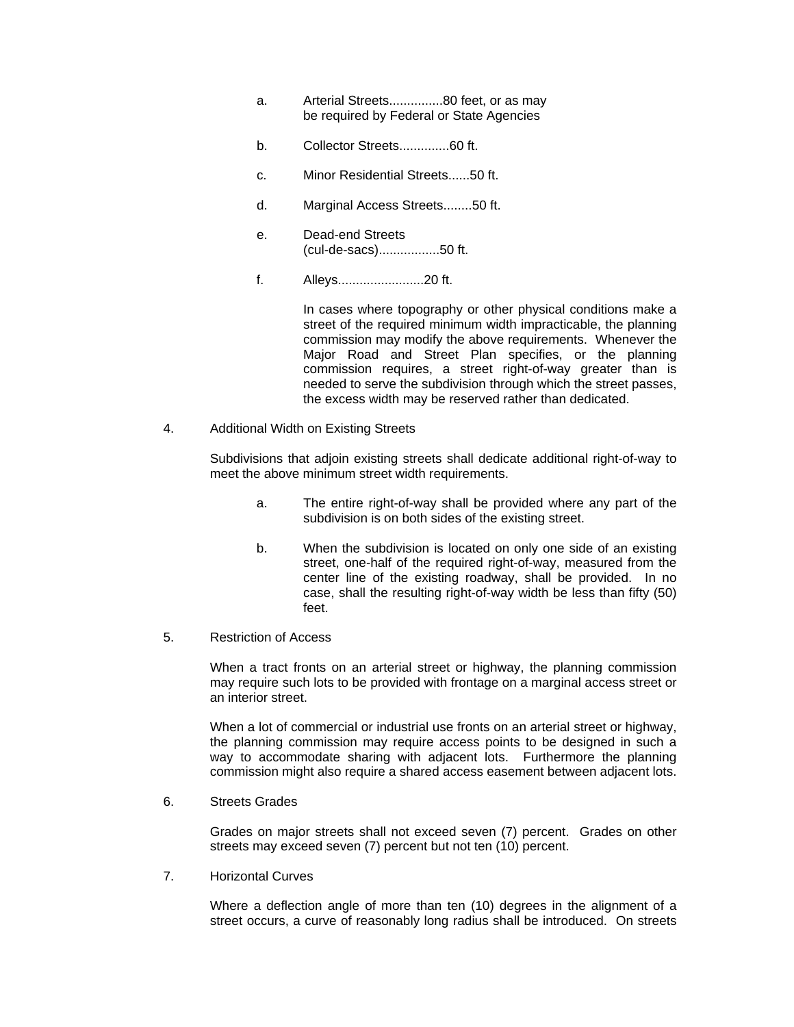- a. Arterial Streets...............80 feet, or as may be required by Federal or State Agencies
- b. Collector Streets..............60 ft.
- c. Minor Residential Streets......50 ft.
- d. Marginal Access Streets........50 ft.
- e. Dead-end Streets (cul-de-sacs).................50 ft.
- f. Alleys........................20 ft.

 In cases where topography or other physical conditions make a street of the required minimum width impracticable, the planning commission may modify the above requirements. Whenever the Major Road and Street Plan specifies, or the planning commission requires, a street right-of-way greater than is needed to serve the subdivision through which the street passes, the excess width may be reserved rather than dedicated.

4. Additional Width on Existing Streets

Subdivisions that adjoin existing streets shall dedicate additional right-of-way to meet the above minimum street width requirements.

- a. The entire right-of-way shall be provided where any part of the subdivision is on both sides of the existing street.
- b. When the subdivision is located on only one side of an existing street, one-half of the required right-of-way, measured from the center line of the existing roadway, shall be provided. In no case, shall the resulting right-of-way width be less than fifty (50) feet.
- 5. Restriction of Access

When a tract fronts on an arterial street or highway, the planning commission may require such lots to be provided with frontage on a marginal access street or an interior street.

When a lot of commercial or industrial use fronts on an arterial street or highway, the planning commission may require access points to be designed in such a way to accommodate sharing with adjacent lots. Furthermore the planning commission might also require a shared access easement between adjacent lots.

6. Streets Grades

 Grades on major streets shall not exceed seven (7) percent. Grades on other streets may exceed seven (7) percent but not ten (10) percent.

7. Horizontal Curves

 Where a deflection angle of more than ten (10) degrees in the alignment of a street occurs, a curve of reasonably long radius shall be introduced. On streets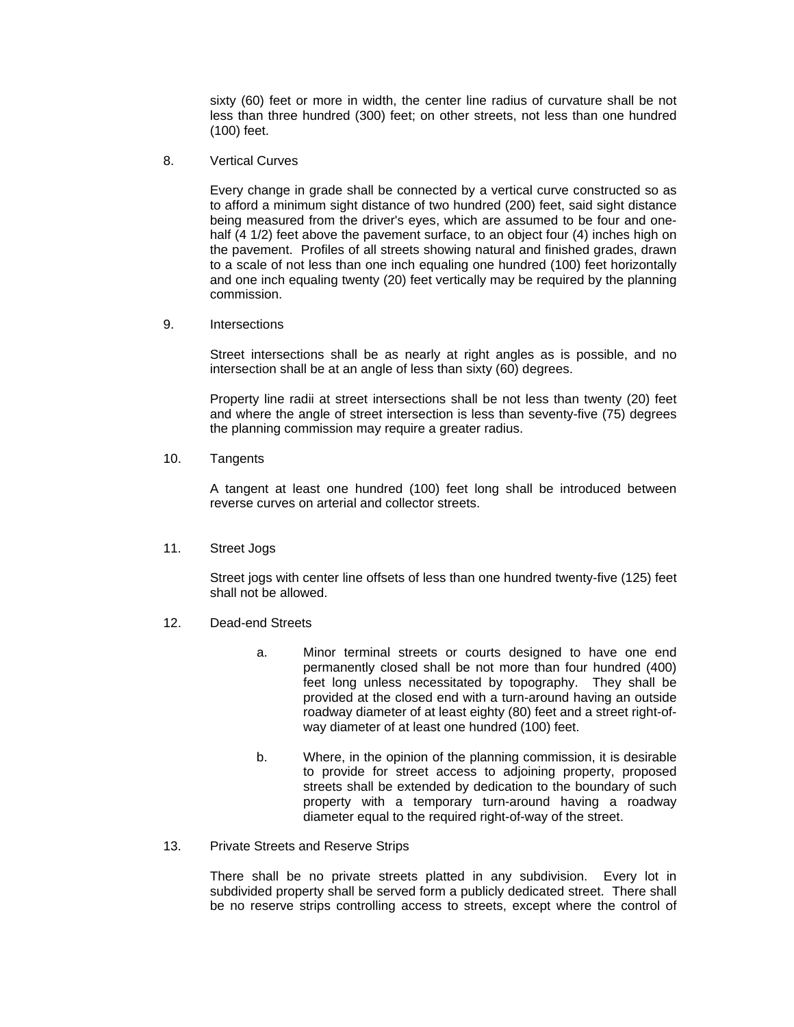sixty (60) feet or more in width, the center line radius of curvature shall be not less than three hundred (300) feet; on other streets, not less than one hundred (100) feet.

8. Vertical Curves

 Every change in grade shall be connected by a vertical curve constructed so as to afford a minimum sight distance of two hundred (200) feet, said sight distance being measured from the driver's eyes, which are assumed to be four and onehalf (4 1/2) feet above the pavement surface, to an object four (4) inches high on the pavement. Profiles of all streets showing natural and finished grades, drawn to a scale of not less than one inch equaling one hundred (100) feet horizontally and one inch equaling twenty (20) feet vertically may be required by the planning commission.

9. Intersections

 Street intersections shall be as nearly at right angles as is possible, and no intersection shall be at an angle of less than sixty (60) degrees.

 Property line radii at street intersections shall be not less than twenty (20) feet and where the angle of street intersection is less than seventy-five (75) degrees the planning commission may require a greater radius.

10. Tangents

 A tangent at least one hundred (100) feet long shall be introduced between reverse curves on arterial and collector streets.

11. Street Jogs

 Street jogs with center line offsets of less than one hundred twenty-five (125) feet shall not be allowed.

- 12. Dead-end Streets
	- a. Minor terminal streets or courts designed to have one end permanently closed shall be not more than four hundred (400) feet long unless necessitated by topography. They shall be provided at the closed end with a turn-around having an outside roadway diameter of at least eighty (80) feet and a street right-ofway diameter of at least one hundred (100) feet.
	- b. Where, in the opinion of the planning commission, it is desirable to provide for street access to adjoining property, proposed streets shall be extended by dedication to the boundary of such property with a temporary turn-around having a roadway diameter equal to the required right-of-way of the street.
- 13. Private Streets and Reserve Strips

 There shall be no private streets platted in any subdivision. Every lot in subdivided property shall be served form a publicly dedicated street. There shall be no reserve strips controlling access to streets, except where the control of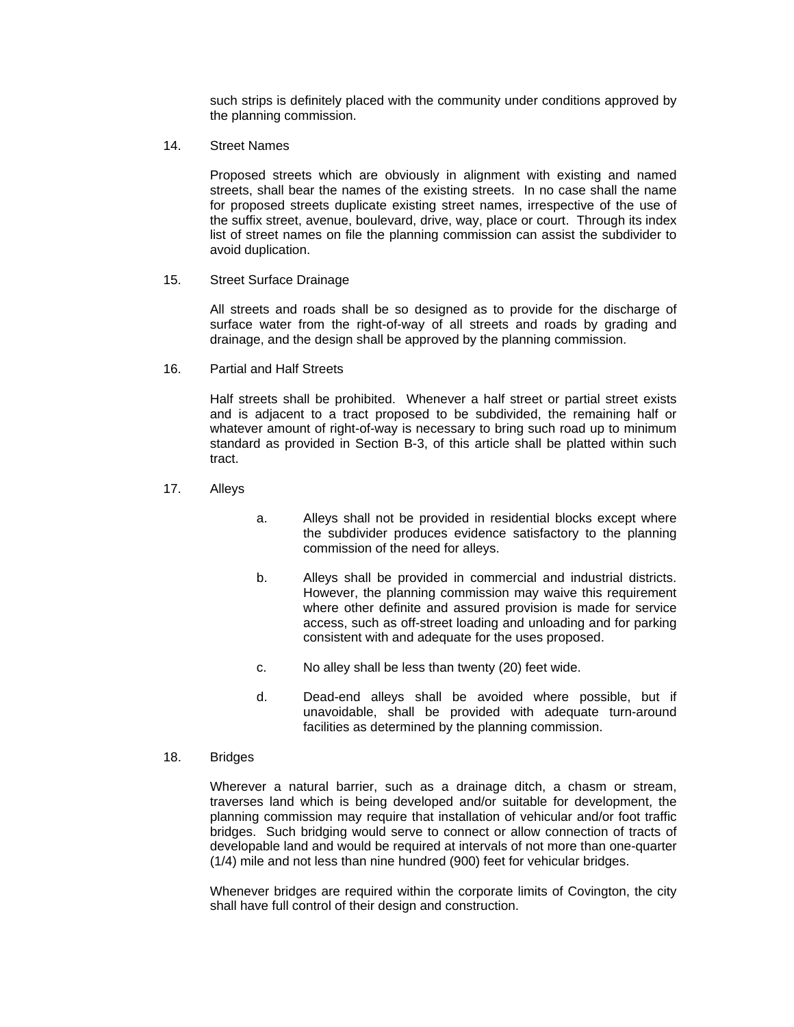such strips is definitely placed with the community under conditions approved by the planning commission.

14. Street Names

 Proposed streets which are obviously in alignment with existing and named streets, shall bear the names of the existing streets. In no case shall the name for proposed streets duplicate existing street names, irrespective of the use of the suffix street, avenue, boulevard, drive, way, place or court. Through its index list of street names on file the planning commission can assist the subdivider to avoid duplication.

15. Street Surface Drainage

 All streets and roads shall be so designed as to provide for the discharge of surface water from the right-of-way of all streets and roads by grading and drainage, and the design shall be approved by the planning commission.

16. Partial and Half Streets

 Half streets shall be prohibited. Whenever a half street or partial street exists and is adjacent to a tract proposed to be subdivided, the remaining half or whatever amount of right-of-way is necessary to bring such road up to minimum standard as provided in Section B-3, of this article shall be platted within such tract.

- 17. Alleys
- a. Alleys shall not be provided in residential blocks except where the subdivider produces evidence satisfactory to the planning commission of the need for alleys.
- b. Alleys shall be provided in commercial and industrial districts. However, the planning commission may waive this requirement where other definite and assured provision is made for service access, such as off-street loading and unloading and for parking consistent with and adequate for the uses proposed.
- c. No alley shall be less than twenty (20) feet wide.
- d. Dead-end alleys shall be avoided where possible, but if unavoidable, shall be provided with adequate turn-around facilities as determined by the planning commission.
- 18. Bridges

 Wherever a natural barrier, such as a drainage ditch, a chasm or stream, traverses land which is being developed and/or suitable for development, the planning commission may require that installation of vehicular and/or foot traffic bridges. Such bridging would serve to connect or allow connection of tracts of developable land and would be required at intervals of not more than one-quarter (1/4) mile and not less than nine hundred (900) feet for vehicular bridges.

 Whenever bridges are required within the corporate limits of Covington, the city shall have full control of their design and construction.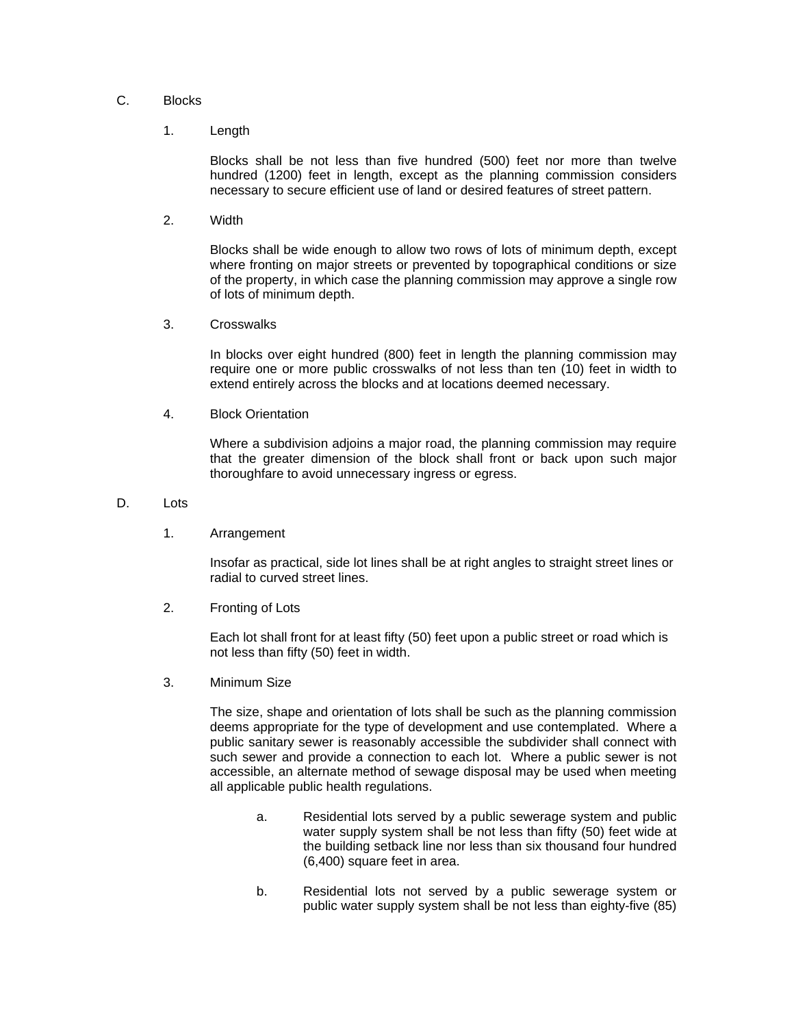### C. Blocks

#### 1. Length

Blocks shall be not less than five hundred (500) feet nor more than twelve hundred (1200) feet in length, except as the planning commission considers necessary to secure efficient use of land or desired features of street pattern.

2. Width

Blocks shall be wide enough to allow two rows of lots of minimum depth, except where fronting on major streets or prevented by topographical conditions or size of the property, in which case the planning commission may approve a single row of lots of minimum depth.

3. Crosswalks

In blocks over eight hundred (800) feet in length the planning commission may require one or more public crosswalks of not less than ten (10) feet in width to extend entirely across the blocks and at locations deemed necessary.

4. Block Orientation

Where a subdivision adjoins a major road, the planning commission may require that the greater dimension of the block shall front or back upon such major thoroughfare to avoid unnecessary ingress or egress.

- D<sub>lots</sub>
	- 1. Arrangement

Insofar as practical, side lot lines shall be at right angles to straight street lines or radial to curved street lines.

2. Fronting of Lots

Each lot shall front for at least fifty (50) feet upon a public street or road which is not less than fifty (50) feet in width.

3. Minimum Size

The size, shape and orientation of lots shall be such as the planning commission deems appropriate for the type of development and use contemplated. Where a public sanitary sewer is reasonably accessible the subdivider shall connect with such sewer and provide a connection to each lot. Where a public sewer is not accessible, an alternate method of sewage disposal may be used when meeting all applicable public health regulations.

- a. Residential lots served by a public sewerage system and public water supply system shall be not less than fifty (50) feet wide at the building setback line nor less than six thousand four hundred (6,400) square feet in area.
- b. Residential lots not served by a public sewerage system or public water supply system shall be not less than eighty-five (85)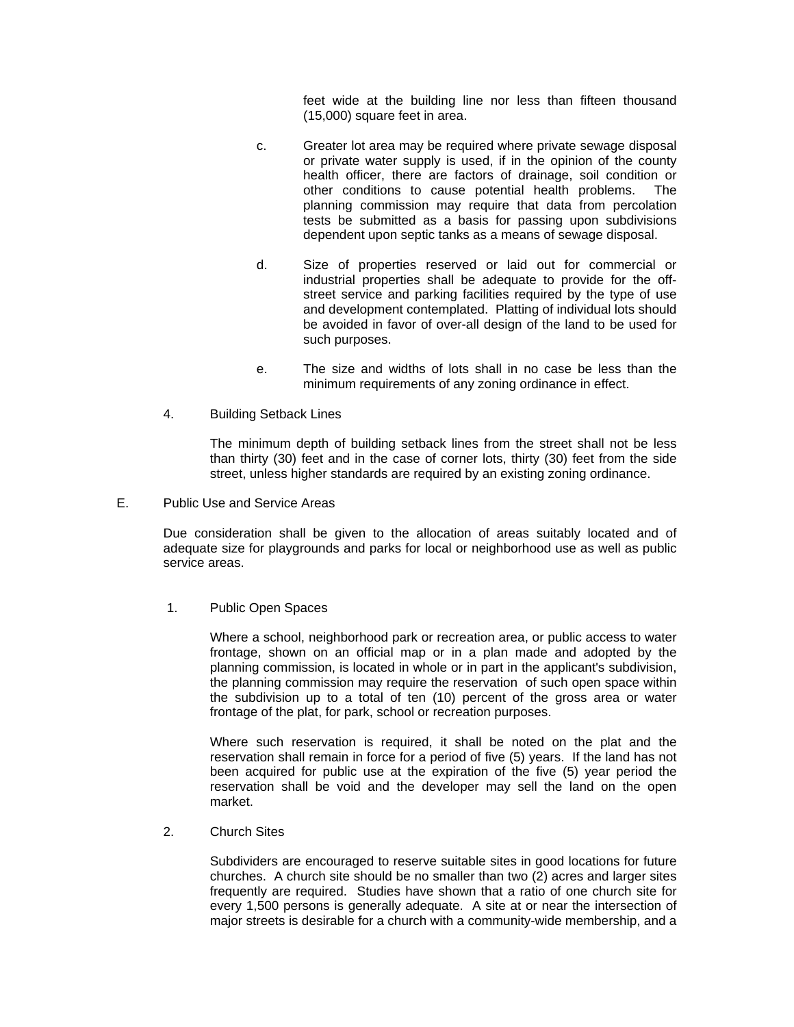feet wide at the building line nor less than fifteen thousand (15,000) square feet in area.

- c. Greater lot area may be required where private sewage disposal or private water supply is used, if in the opinion of the county health officer, there are factors of drainage, soil condition or other conditions to cause potential health problems. The planning commission may require that data from percolation tests be submitted as a basis for passing upon subdivisions dependent upon septic tanks as a means of sewage disposal.
- d. Size of properties reserved or laid out for commercial or industrial properties shall be adequate to provide for the offstreet service and parking facilities required by the type of use and development contemplated. Platting of individual lots should be avoided in favor of over-all design of the land to be used for such purposes.
- e. The size and widths of lots shall in no case be less than the minimum requirements of any zoning ordinance in effect.
- 4. Building Setback Lines

 The minimum depth of building setback lines from the street shall not be less than thirty (30) feet and in the case of corner lots, thirty (30) feet from the side street, unless higher standards are required by an existing zoning ordinance.

E. Public Use and Service Areas

Due consideration shall be given to the allocation of areas suitably located and of adequate size for playgrounds and parks for local or neighborhood use as well as public service areas.

1. Public Open Spaces

 Where a school, neighborhood park or recreation area, or public access to water frontage, shown on an official map or in a plan made and adopted by the planning commission, is located in whole or in part in the applicant's subdivision, the planning commission may require the reservation of such open space within the subdivision up to a total of ten (10) percent of the gross area or water frontage of the plat, for park, school or recreation purposes.

 Where such reservation is required, it shall be noted on the plat and the reservation shall remain in force for a period of five (5) years. If the land has not been acquired for public use at the expiration of the five (5) year period the reservation shall be void and the developer may sell the land on the open market.

2. Church Sites

 Subdividers are encouraged to reserve suitable sites in good locations for future churches. A church site should be no smaller than two (2) acres and larger sites frequently are required. Studies have shown that a ratio of one church site for every 1,500 persons is generally adequate. A site at or near the intersection of major streets is desirable for a church with a community-wide membership, and a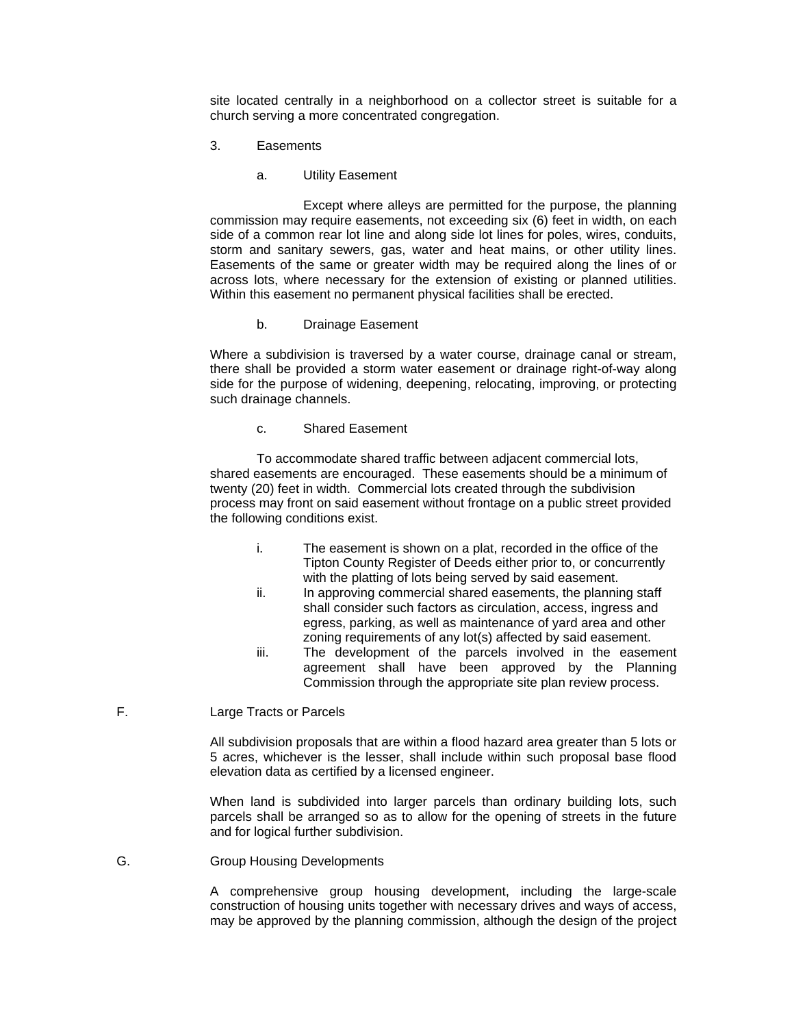site located centrally in a neighborhood on a collector street is suitable for a church serving a more concentrated congregation.

- 3. Easements
	- a. Utility Easement

 Except where alleys are permitted for the purpose, the planning commission may require easements, not exceeding six (6) feet in width, on each side of a common rear lot line and along side lot lines for poles, wires, conduits, storm and sanitary sewers, gas, water and heat mains, or other utility lines. Easements of the same or greater width may be required along the lines of or across lots, where necessary for the extension of existing or planned utilities. Within this easement no permanent physical facilities shall be erected.

b. Drainage Easement

 Where a subdivision is traversed by a water course, drainage canal or stream, there shall be provided a storm water easement or drainage right-of-way along side for the purpose of widening, deepening, relocating, improving, or protecting such drainage channels.

c. Shared Easement

To accommodate shared traffic between adjacent commercial lots, shared easements are encouraged. These easements should be a minimum of twenty (20) feet in width. Commercial lots created through the subdivision process may front on said easement without frontage on a public street provided the following conditions exist.

- i. The easement is shown on a plat, recorded in the office of the Tipton County Register of Deeds either prior to, or concurrently with the platting of lots being served by said easement.
- ii. In approving commercial shared easements, the planning staff shall consider such factors as circulation, access, ingress and egress, parking, as well as maintenance of yard area and other zoning requirements of any lot(s) affected by said easement.
- iii. The development of the parcels involved in the easement agreement shall have been approved by the Planning Commission through the appropriate site plan review process.
- F. Large Tracts or Parcels

 All subdivision proposals that are within a flood hazard area greater than 5 lots or 5 acres, whichever is the lesser, shall include within such proposal base flood elevation data as certified by a licensed engineer.

 When land is subdivided into larger parcels than ordinary building lots, such parcels shall be arranged so as to allow for the opening of streets in the future and for logical further subdivision.

### G. Group Housing Developments

 A comprehensive group housing development, including the large-scale construction of housing units together with necessary drives and ways of access, may be approved by the planning commission, although the design of the project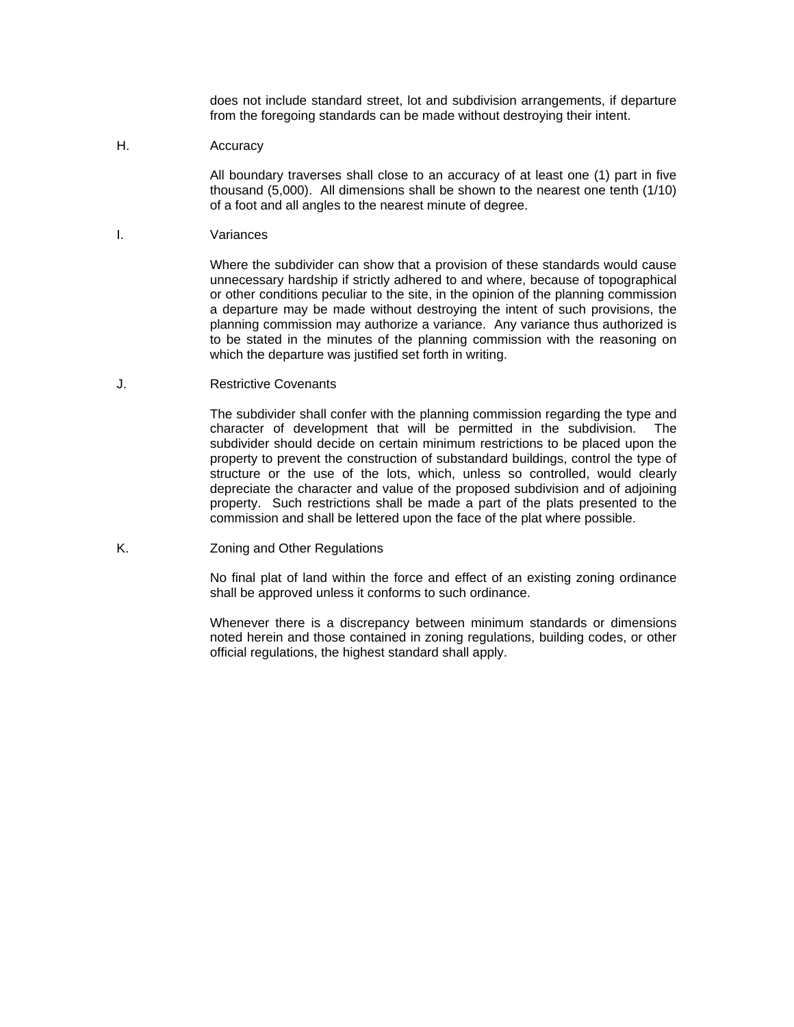does not include standard street, lot and subdivision arrangements, if departure from the foregoing standards can be made without destroying their intent.

H. Accuracy

 All boundary traverses shall close to an accuracy of at least one (1) part in five thousand (5,000). All dimensions shall be shown to the nearest one tenth (1/10) of a foot and all angles to the nearest minute of degree.

I. Variances

 Where the subdivider can show that a provision of these standards would cause unnecessary hardship if strictly adhered to and where, because of topographical or other conditions peculiar to the site, in the opinion of the planning commission a departure may be made without destroying the intent of such provisions, the planning commission may authorize a variance. Any variance thus authorized is to be stated in the minutes of the planning commission with the reasoning on which the departure was justified set forth in writing.

J. Restrictive Covenants

 The subdivider shall confer with the planning commission regarding the type and character of development that will be permitted in the subdivision. The subdivider should decide on certain minimum restrictions to be placed upon the property to prevent the construction of substandard buildings, control the type of structure or the use of the lots, which, unless so controlled, would clearly depreciate the character and value of the proposed subdivision and of adjoining property. Such restrictions shall be made a part of the plats presented to the commission and shall be lettered upon the face of the plat where possible.

K. Zoning and Other Regulations

 No final plat of land within the force and effect of an existing zoning ordinance shall be approved unless it conforms to such ordinance.

 Whenever there is a discrepancy between minimum standards or dimensions noted herein and those contained in zoning regulations, building codes, or other official regulations, the highest standard shall apply.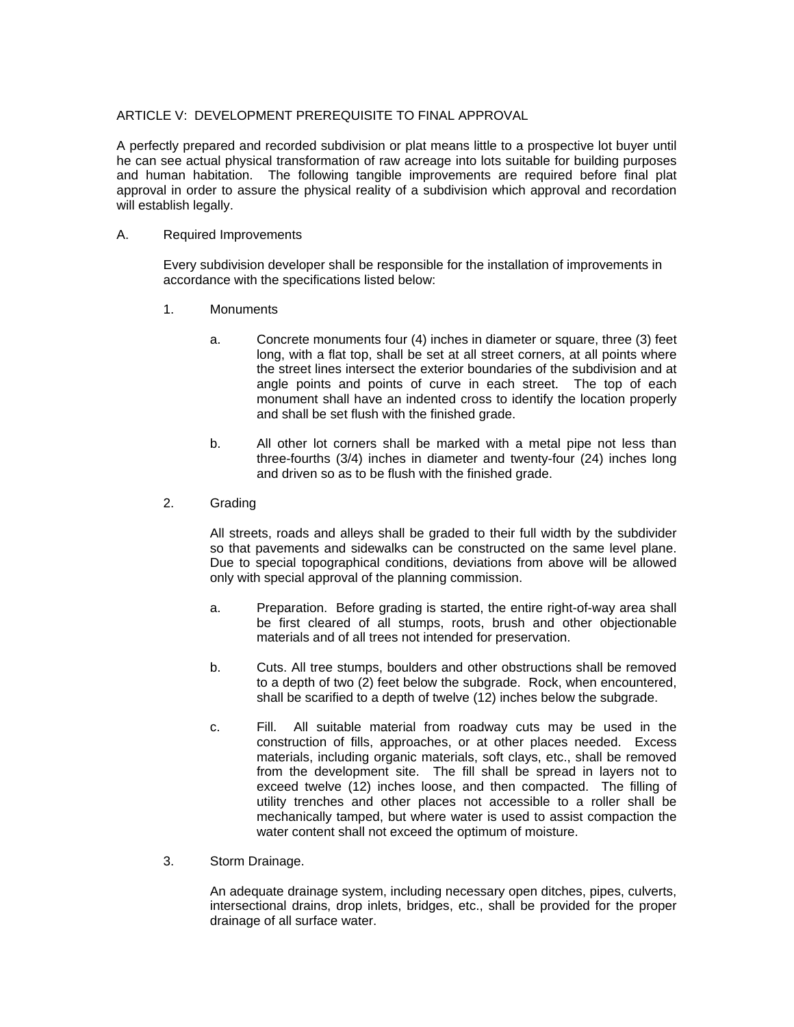### ARTICLE V: DEVELOPMENT PREREQUISITE TO FINAL APPROVAL

A perfectly prepared and recorded subdivision or plat means little to a prospective lot buyer until he can see actual physical transformation of raw acreage into lots suitable for building purposes and human habitation. The following tangible improvements are required before final plat approval in order to assure the physical reality of a subdivision which approval and recordation will establish legally.

### A. Required Improvements

 Every subdivision developer shall be responsible for the installation of improvements in accordance with the specifications listed below:

- 1. Monuments
	- a. Concrete monuments four (4) inches in diameter or square, three (3) feet long, with a flat top, shall be set at all street corners, at all points where the street lines intersect the exterior boundaries of the subdivision and at angle points and points of curve in each street. The top of each monument shall have an indented cross to identify the location properly and shall be set flush with the finished grade.
	- b. All other lot corners shall be marked with a metal pipe not less than three-fourths (3/4) inches in diameter and twenty-four (24) inches long and driven so as to be flush with the finished grade.
- 2. Grading

 All streets, roads and alleys shall be graded to their full width by the subdivider so that pavements and sidewalks can be constructed on the same level plane. Due to special topographical conditions, deviations from above will be allowed only with special approval of the planning commission.

- a. Preparation. Before grading is started, the entire right-of-way area shall be first cleared of all stumps, roots, brush and other objectionable materials and of all trees not intended for preservation.
- b. Cuts. All tree stumps, boulders and other obstructions shall be removed to a depth of two (2) feet below the subgrade. Rock, when encountered, shall be scarified to a depth of twelve (12) inches below the subgrade.
- c. Fill. All suitable material from roadway cuts may be used in the construction of fills, approaches, or at other places needed. Excess materials, including organic materials, soft clays, etc., shall be removed from the development site. The fill shall be spread in layers not to exceed twelve (12) inches loose, and then compacted. The filling of utility trenches and other places not accessible to a roller shall be mechanically tamped, but where water is used to assist compaction the water content shall not exceed the optimum of moisture.
- 3. Storm Drainage.

 An adequate drainage system, including necessary open ditches, pipes, culverts, intersectional drains, drop inlets, bridges, etc., shall be provided for the proper drainage of all surface water.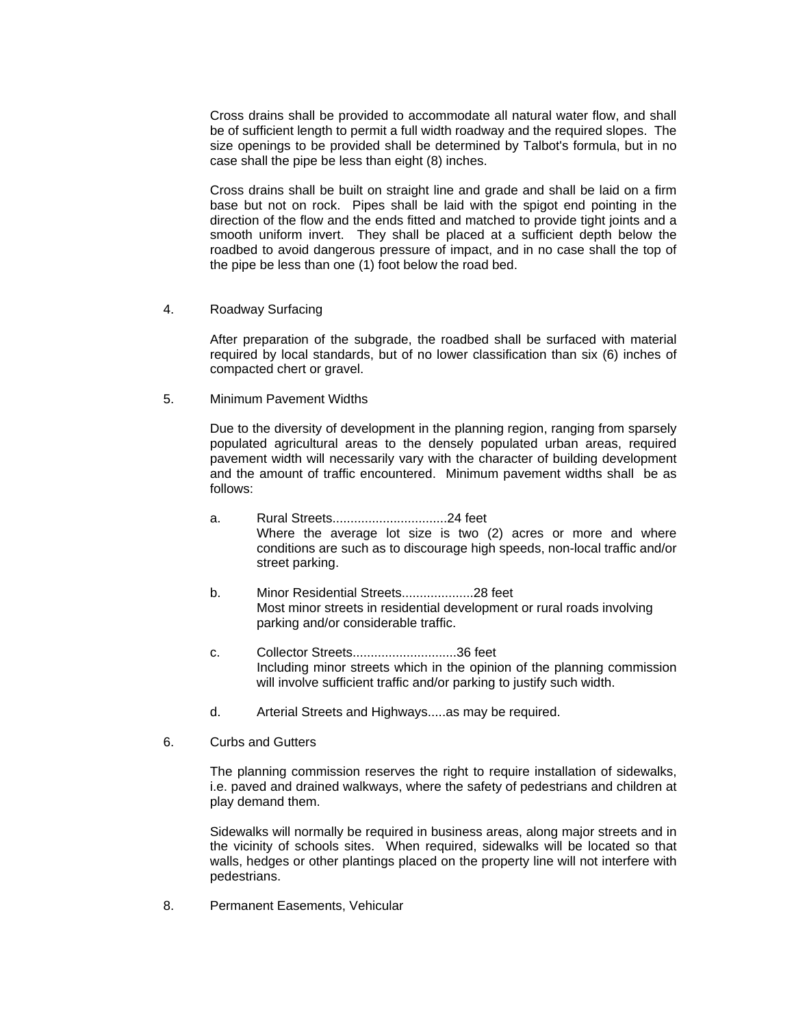Cross drains shall be provided to accommodate all natural water flow, and shall be of sufficient length to permit a full width roadway and the required slopes. The size openings to be provided shall be determined by Talbot's formula, but in no case shall the pipe be less than eight (8) inches.

 Cross drains shall be built on straight line and grade and shall be laid on a firm base but not on rock. Pipes shall be laid with the spigot end pointing in the direction of the flow and the ends fitted and matched to provide tight joints and a smooth uniform invert. They shall be placed at a sufficient depth below the roadbed to avoid dangerous pressure of impact, and in no case shall the top of the pipe be less than one (1) foot below the road bed.

4. Roadway Surfacing

 After preparation of the subgrade, the roadbed shall be surfaced with material required by local standards, but of no lower classification than six (6) inches of compacted chert or gravel.

5. Minimum Pavement Widths

 Due to the diversity of development in the planning region, ranging from sparsely populated agricultural areas to the densely populated urban areas, required pavement width will necessarily vary with the character of building development and the amount of traffic encountered. Minimum pavement widths shall be as follows:

- a. Rural Streets................................24 feet Where the average lot size is two (2) acres or more and where conditions are such as to discourage high speeds, non-local traffic and/or street parking.
- b. Minor Residential Streets....................28 feet Most minor streets in residential development or rural roads involving parking and/or considerable traffic.
- c. Collector Streets.............................36 feet Including minor streets which in the opinion of the planning commission will involve sufficient traffic and/or parking to justify such width.
- d. Arterial Streets and Highways.....as may be required.
- 6. Curbs and Gutters

 The planning commission reserves the right to require installation of sidewalks, i.e. paved and drained walkways, where the safety of pedestrians and children at play demand them.

 Sidewalks will normally be required in business areas, along major streets and in the vicinity of schools sites. When required, sidewalks will be located so that walls, hedges or other plantings placed on the property line will not interfere with pedestrians.

8. Permanent Easements, Vehicular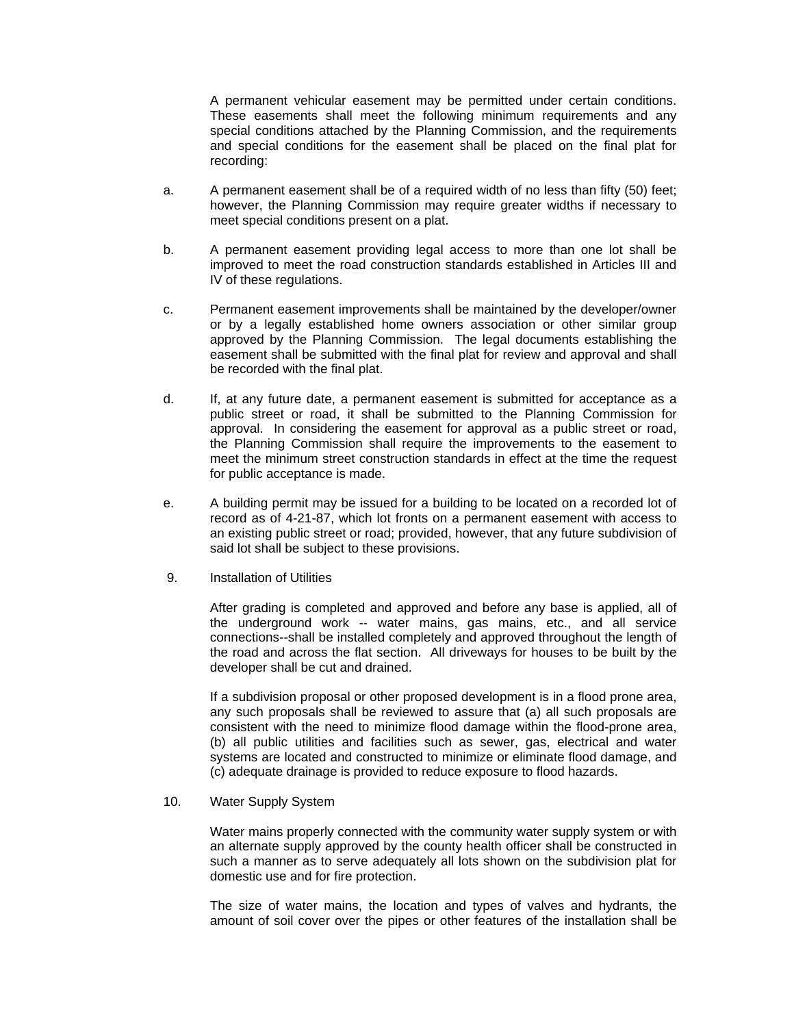A permanent vehicular easement may be permitted under certain conditions. These easements shall meet the following minimum requirements and any special conditions attached by the Planning Commission, and the requirements and special conditions for the easement shall be placed on the final plat for recording:

- a. A permanent easement shall be of a required width of no less than fifty (50) feet; however, the Planning Commission may require greater widths if necessary to meet special conditions present on a plat.
- b. A permanent easement providing legal access to more than one lot shall be improved to meet the road construction standards established in Articles III and IV of these regulations.
- c. Permanent easement improvements shall be maintained by the developer/owner or by a legally established home owners association or other similar group approved by the Planning Commission. The legal documents establishing the easement shall be submitted with the final plat for review and approval and shall be recorded with the final plat.
- d. If, at any future date, a permanent easement is submitted for acceptance as a public street or road, it shall be submitted to the Planning Commission for approval. In considering the easement for approval as a public street or road, the Planning Commission shall require the improvements to the easement to meet the minimum street construction standards in effect at the time the request for public acceptance is made.
- e. A building permit may be issued for a building to be located on a recorded lot of record as of 4-21-87, which lot fronts on a permanent easement with access to an existing public street or road; provided, however, that any future subdivision of said lot shall be subject to these provisions.
- 9. Installation of Utilities

 After grading is completed and approved and before any base is applied, all of the underground work -- water mains, gas mains, etc., and all service connections--shall be installed completely and approved throughout the length of the road and across the flat section. All driveways for houses to be built by the developer shall be cut and drained.

 If a subdivision proposal or other proposed development is in a flood prone area, any such proposals shall be reviewed to assure that (a) all such proposals are consistent with the need to minimize flood damage within the flood-prone area, (b) all public utilities and facilities such as sewer, gas, electrical and water systems are located and constructed to minimize or eliminate flood damage, and (c) adequate drainage is provided to reduce exposure to flood hazards.

10. Water Supply System

 Water mains properly connected with the community water supply system or with an alternate supply approved by the county health officer shall be constructed in such a manner as to serve adequately all lots shown on the subdivision plat for domestic use and for fire protection.

 The size of water mains, the location and types of valves and hydrants, the amount of soil cover over the pipes or other features of the installation shall be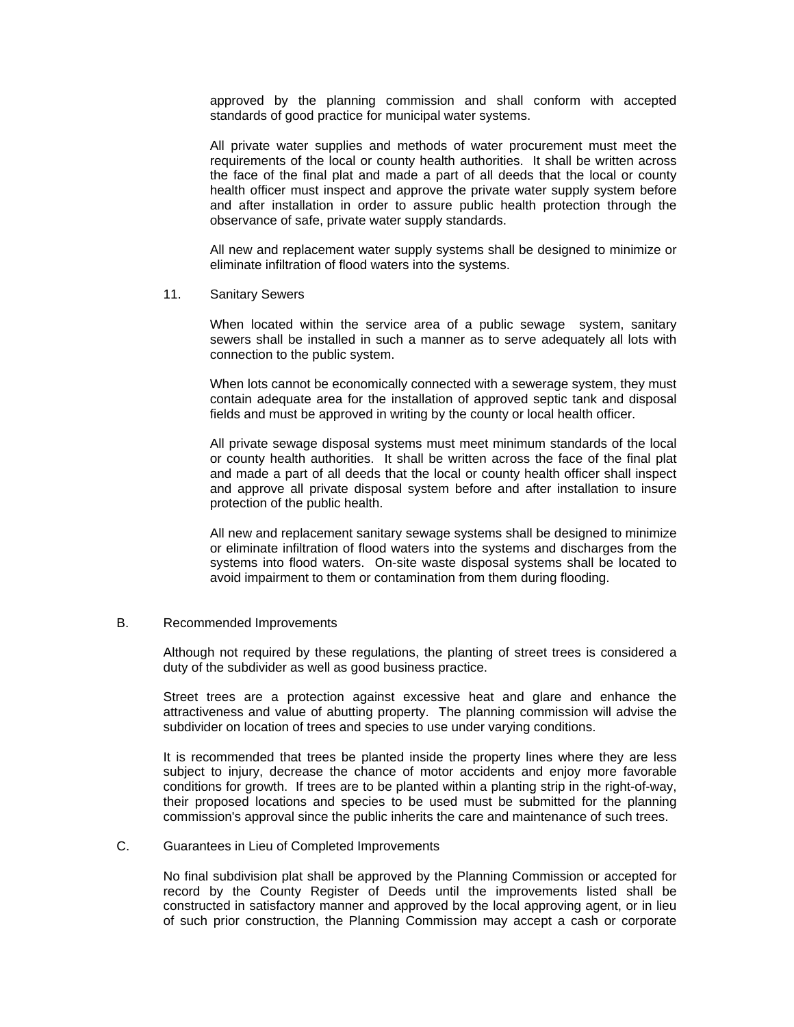approved by the planning commission and shall conform with accepted standards of good practice for municipal water systems.

 All private water supplies and methods of water procurement must meet the requirements of the local or county health authorities. It shall be written across the face of the final plat and made a part of all deeds that the local or county health officer must inspect and approve the private water supply system before and after installation in order to assure public health protection through the observance of safe, private water supply standards.

 All new and replacement water supply systems shall be designed to minimize or eliminate infiltration of flood waters into the systems.

11. Sanitary Sewers

 When located within the service area of a public sewage system, sanitary sewers shall be installed in such a manner as to serve adequately all lots with connection to the public system.

 When lots cannot be economically connected with a sewerage system, they must contain adequate area for the installation of approved septic tank and disposal fields and must be approved in writing by the county or local health officer.

 All private sewage disposal systems must meet minimum standards of the local or county health authorities. It shall be written across the face of the final plat and made a part of all deeds that the local or county health officer shall inspect and approve all private disposal system before and after installation to insure protection of the public health.

 All new and replacement sanitary sewage systems shall be designed to minimize or eliminate infiltration of flood waters into the systems and discharges from the systems into flood waters. On-site waste disposal systems shall be located to avoid impairment to them or contamination from them during flooding.

### B. Recommended Improvements

Although not required by these regulations, the planting of street trees is considered a duty of the subdivider as well as good business practice.

Street trees are a protection against excessive heat and glare and enhance the attractiveness and value of abutting property. The planning commission will advise the subdivider on location of trees and species to use under varying conditions.

It is recommended that trees be planted inside the property lines where they are less subject to injury, decrease the chance of motor accidents and enjoy more favorable conditions for growth. If trees are to be planted within a planting strip in the right-of-way, their proposed locations and species to be used must be submitted for the planning commission's approval since the public inherits the care and maintenance of such trees.

#### C. Guarantees in Lieu of Completed Improvements

No final subdivision plat shall be approved by the Planning Commission or accepted for record by the County Register of Deeds until the improvements listed shall be constructed in satisfactory manner and approved by the local approving agent, or in lieu of such prior construction, the Planning Commission may accept a cash or corporate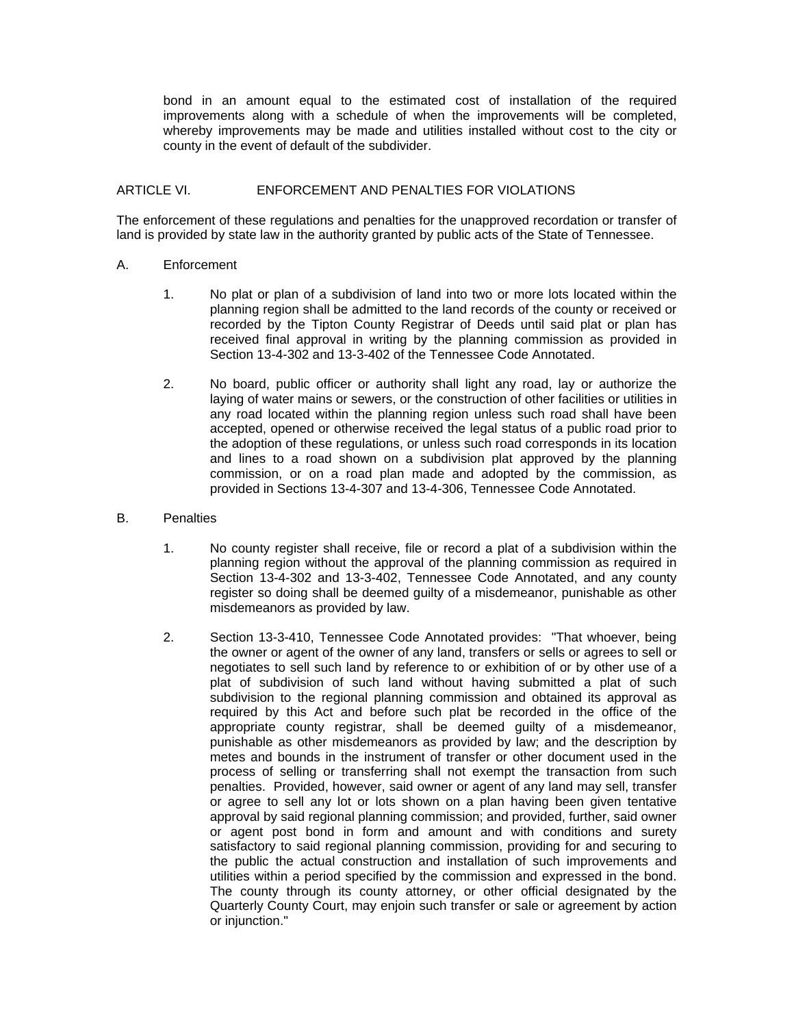bond in an amount equal to the estimated cost of installation of the required improvements along with a schedule of when the improvements will be completed, whereby improvements may be made and utilities installed without cost to the city or county in the event of default of the subdivider.

### ARTICLE VI. ENFORCEMENT AND PENALTIES FOR VIOLATIONS

The enforcement of these regulations and penalties for the unapproved recordation or transfer of land is provided by state law in the authority granted by public acts of the State of Tennessee.

#### A. Enforcement

- 1. No plat or plan of a subdivision of land into two or more lots located within the planning region shall be admitted to the land records of the county or received or recorded by the Tipton County Registrar of Deeds until said plat or plan has received final approval in writing by the planning commission as provided in Section 13-4-302 and 13-3-402 of the Tennessee Code Annotated.
- 2. No board, public officer or authority shall light any road, lay or authorize the laying of water mains or sewers, or the construction of other facilities or utilities in any road located within the planning region unless such road shall have been accepted, opened or otherwise received the legal status of a public road prior to the adoption of these regulations, or unless such road corresponds in its location and lines to a road shown on a subdivision plat approved by the planning commission, or on a road plan made and adopted by the commission, as provided in Sections 13-4-307 and 13-4-306, Tennessee Code Annotated.

#### B. Penalties

- 1. No county register shall receive, file or record a plat of a subdivision within the planning region without the approval of the planning commission as required in Section 13-4-302 and 13-3-402, Tennessee Code Annotated, and any county register so doing shall be deemed guilty of a misdemeanor, punishable as other misdemeanors as provided by law.
- 2. Section 13-3-410, Tennessee Code Annotated provides: "That whoever, being the owner or agent of the owner of any land, transfers or sells or agrees to sell or negotiates to sell such land by reference to or exhibition of or by other use of a plat of subdivision of such land without having submitted a plat of such subdivision to the regional planning commission and obtained its approval as required by this Act and before such plat be recorded in the office of the appropriate county registrar, shall be deemed guilty of a misdemeanor, punishable as other misdemeanors as provided by law; and the description by metes and bounds in the instrument of transfer or other document used in the process of selling or transferring shall not exempt the transaction from such penalties. Provided, however, said owner or agent of any land may sell, transfer or agree to sell any lot or lots shown on a plan having been given tentative approval by said regional planning commission; and provided, further, said owner or agent post bond in form and amount and with conditions and surety satisfactory to said regional planning commission, providing for and securing to the public the actual construction and installation of such improvements and utilities within a period specified by the commission and expressed in the bond. The county through its county attorney, or other official designated by the Quarterly County Court, may enjoin such transfer or sale or agreement by action or injunction."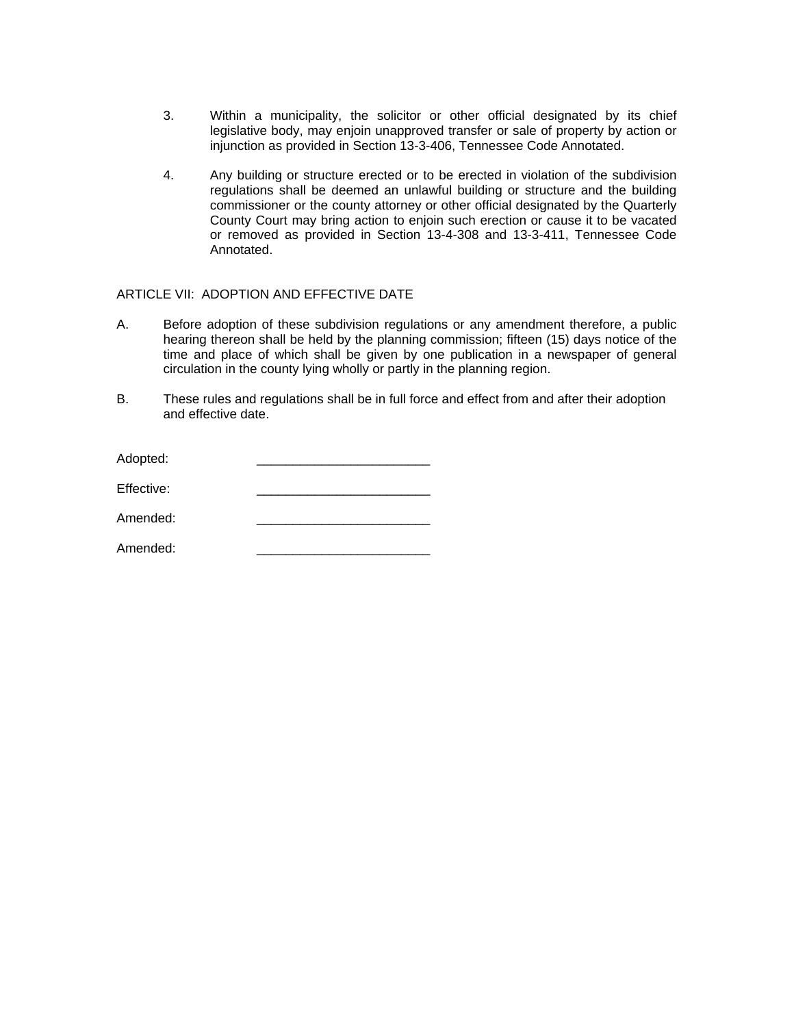- 3. Within a municipality, the solicitor or other official designated by its chief legislative body, may enjoin unapproved transfer or sale of property by action or injunction as provided in Section 13-3-406, Tennessee Code Annotated.
- 4. Any building or structure erected or to be erected in violation of the subdivision regulations shall be deemed an unlawful building or structure and the building commissioner or the county attorney or other official designated by the Quarterly County Court may bring action to enjoin such erection or cause it to be vacated or removed as provided in Section 13-4-308 and 13-3-411, Tennessee Code Annotated.

### ARTICLE VII: ADOPTION AND EFFECTIVE DATE

- A. Before adoption of these subdivision regulations or any amendment therefore, a public hearing thereon shall be held by the planning commission; fifteen (15) days notice of the time and place of which shall be given by one publication in a newspaper of general circulation in the county lying wholly or partly in the planning region.
- B. These rules and regulations shall be in full force and effect from and after their adoption and effective date.

| Adopted:   |  |
|------------|--|
| Effective: |  |
| Amended:   |  |
| Amended:   |  |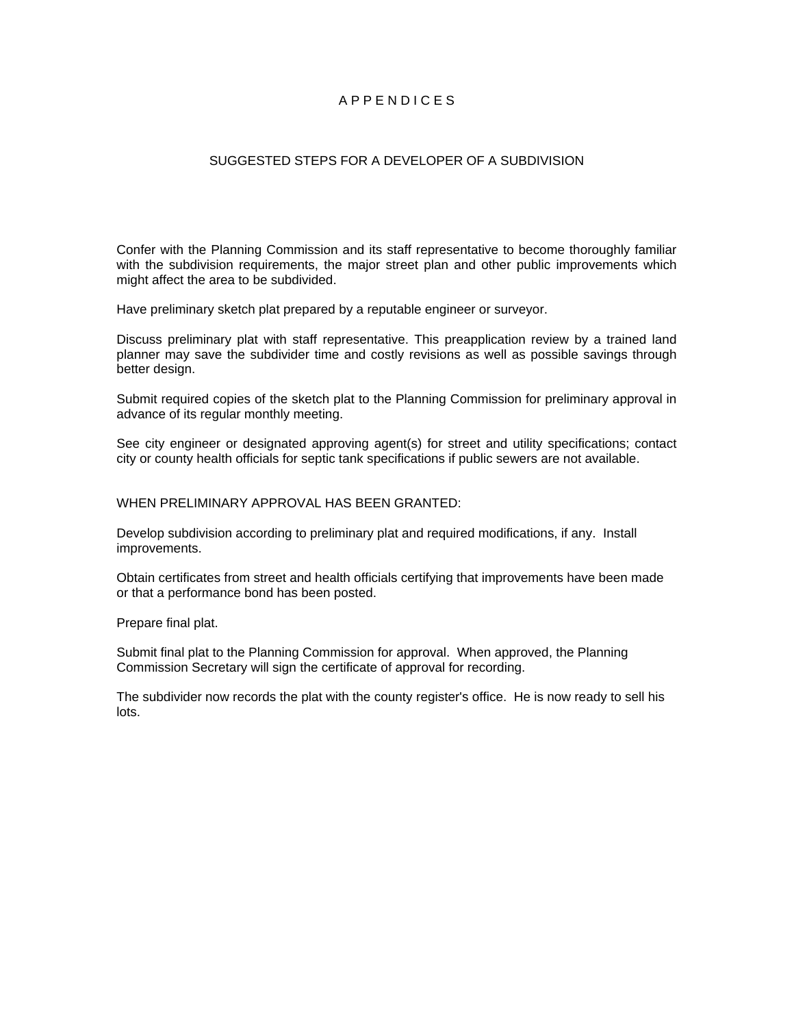### A P P E N D I C E S

### SUGGESTED STEPS FOR A DEVELOPER OF A SUBDIVISION

Confer with the Planning Commission and its staff representative to become thoroughly familiar with the subdivision requirements, the major street plan and other public improvements which might affect the area to be subdivided.

Have preliminary sketch plat prepared by a reputable engineer or surveyor.

Discuss preliminary plat with staff representative. This preapplication review by a trained land planner may save the subdivider time and costly revisions as well as possible savings through better design.

Submit required copies of the sketch plat to the Planning Commission for preliminary approval in advance of its regular monthly meeting.

See city engineer or designated approving agent(s) for street and utility specifications; contact city or county health officials for septic tank specifications if public sewers are not available.

WHEN PRELIMINARY APPROVAL HAS BEEN GRANTED:

Develop subdivision according to preliminary plat and required modifications, if any. Install improvements.

Obtain certificates from street and health officials certifying that improvements have been made or that a performance bond has been posted.

Prepare final plat.

Submit final plat to the Planning Commission for approval. When approved, the Planning Commission Secretary will sign the certificate of approval for recording.

The subdivider now records the plat with the county register's office. He is now ready to sell his lots.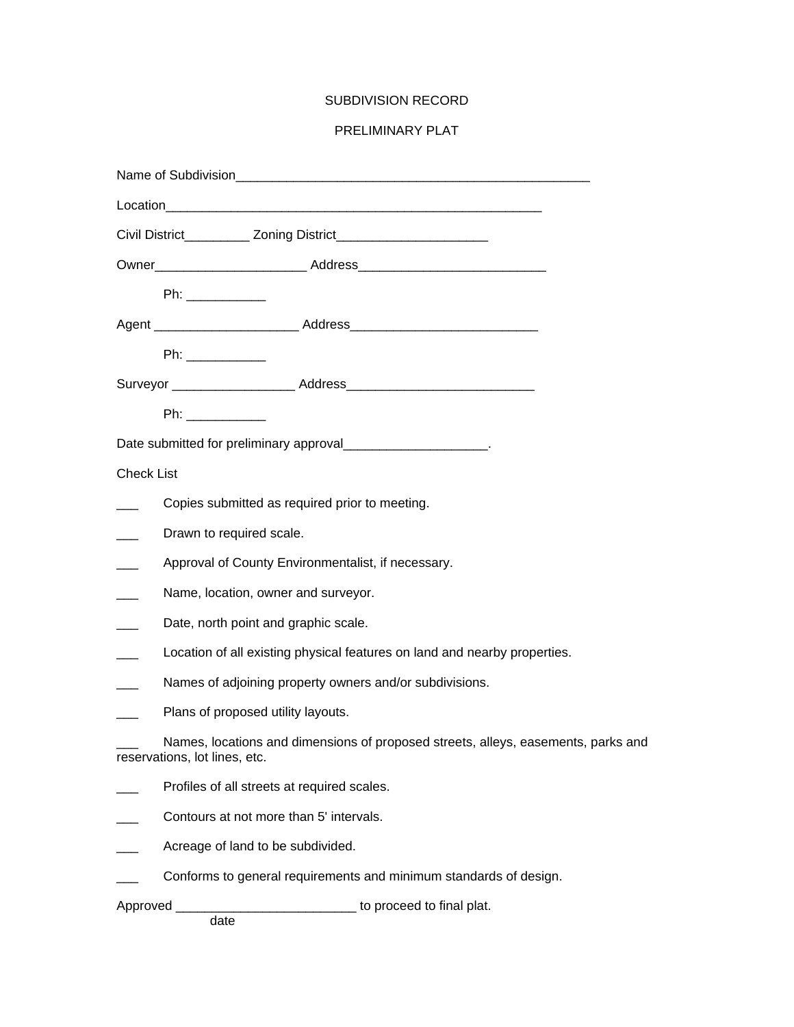### SUBDIVISION RECORD

### PRELIMINARY PLAT

|                          |                                                                           | Date submitted for preliminary approval________________________.                  |  |
|--------------------------|---------------------------------------------------------------------------|-----------------------------------------------------------------------------------|--|
| <b>Check List</b>        |                                                                           |                                                                                   |  |
|                          |                                                                           | Copies submitted as required prior to meeting.                                    |  |
| $\overline{\phantom{a}}$ | Drawn to required scale.                                                  |                                                                                   |  |
| $\overline{\phantom{a}}$ | Approval of County Environmentalist, if necessary.                        |                                                                                   |  |
| $\overline{\phantom{a}}$ | Name, location, owner and surveyor.                                       |                                                                                   |  |
|                          | Date, north point and graphic scale.                                      |                                                                                   |  |
|                          | Location of all existing physical features on land and nearby properties. |                                                                                   |  |
|                          |                                                                           | Names of adjoining property owners and/or subdivisions.                           |  |
|                          | Plans of proposed utility layouts.                                        |                                                                                   |  |
|                          | reservations, lot lines, etc.                                             | Names, locations and dimensions of proposed streets, alleys, easements, parks and |  |
|                          |                                                                           | Profiles of all streets at required scales.                                       |  |
|                          |                                                                           | Contours at not more than 5' intervals.                                           |  |
|                          | Acreage of land to be subdivided.                                         |                                                                                   |  |
|                          |                                                                           | Conforms to general requirements and minimum standards of design.                 |  |
|                          | date                                                                      | Approved __________________________________ to proceed to final plat.             |  |
|                          |                                                                           |                                                                                   |  |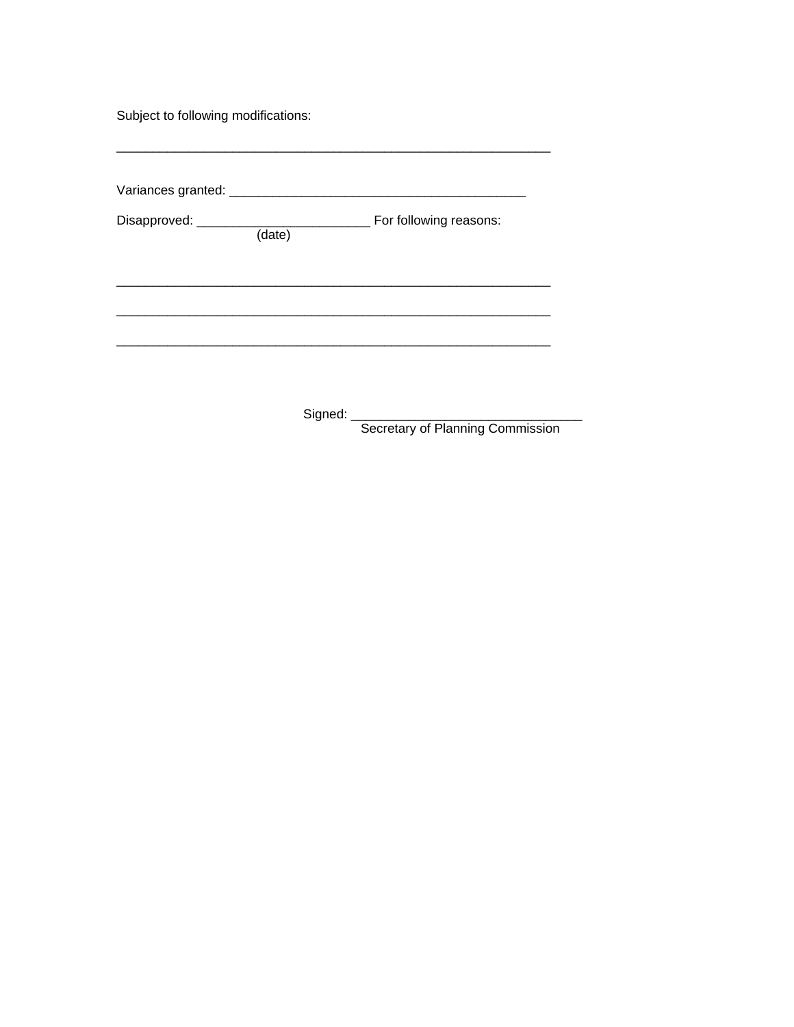Subject to following modifications:

|  | For following reasons: |
|--|------------------------|
|  |                        |
|  |                        |
|  |                        |
|  |                        |
|  |                        |

Secretary of Planning Commission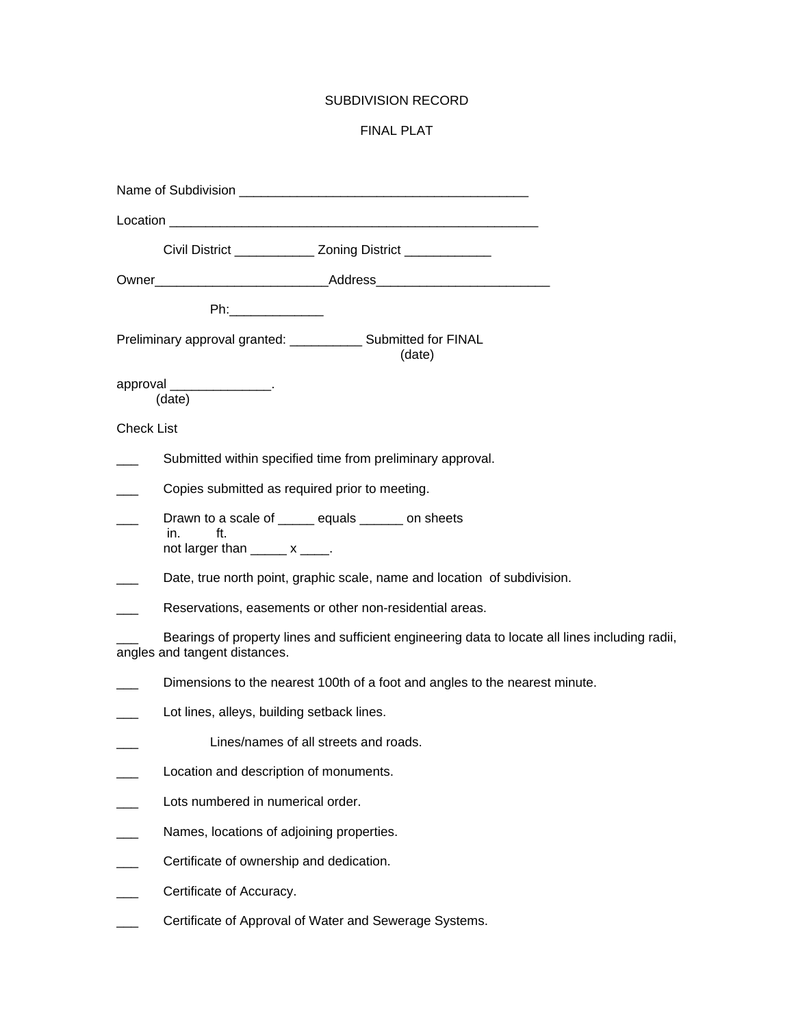### SUBDIVISION RECORD

### FINAL PLAT

| Civil District ______________ Zoning District _____________                                                                      |
|----------------------------------------------------------------------------------------------------------------------------------|
|                                                                                                                                  |
| <b>Philippines</b>                                                                                                               |
| Preliminary approval granted: ______________ Submitted for FINAL<br>(date)                                                       |
| approval _________________.<br>(date)                                                                                            |
| <b>Check List</b>                                                                                                                |
| Submitted within specified time from preliminary approval.                                                                       |
| Copies submitted as required prior to meeting.                                                                                   |
| Drawn to a scale of ______ equals ______ on sheets<br>in.<br>ft.<br>not larger than $\_\_\_\_\_\$ x $\_\_\_\_\$ .                |
| Date, true north point, graphic scale, name and location of subdivision.                                                         |
| Reservations, easements or other non-residential areas.                                                                          |
| Bearings of property lines and sufficient engineering data to locate all lines including radii,<br>angles and tangent distances. |
| Dimensions to the nearest 100th of a foot and angles to the nearest minute.                                                      |
| Lot lines, alleys, building setback lines.                                                                                       |
| Lines/names of all streets and roads.                                                                                            |
| Location and description of monuments.                                                                                           |
| Lots numbered in numerical order.                                                                                                |
| Names, locations of adjoining properties.                                                                                        |
| Certificate of ownership and dedication.                                                                                         |
| Certificate of Accuracy.                                                                                                         |
| Certificate of Approval of Water and Sewerage Systems.                                                                           |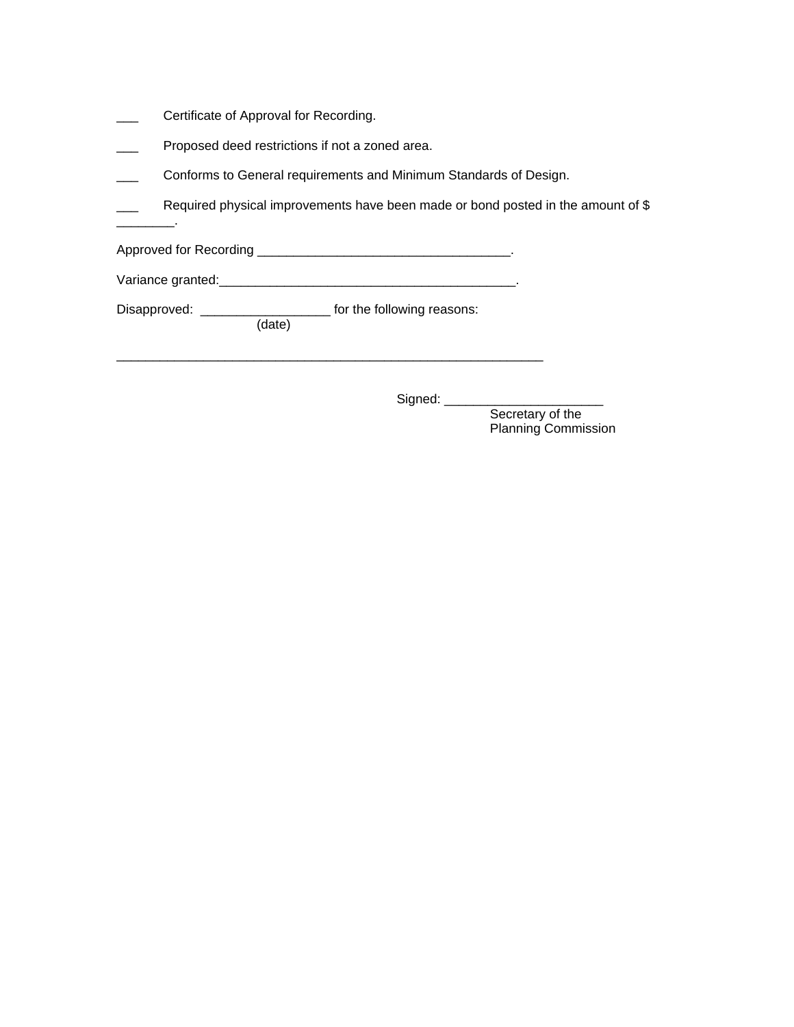Certificate of Approval for Recording.

 $\overline{\phantom{a}}$  .

- Proposed deed restrictions if not a zoned area.
- Conforms to General requirements and Minimum Standards of Design.
- Required physical improvements have been made or bond posted in the amount of \$

Approved for Recording \_\_\_\_\_\_\_\_\_\_\_\_\_\_\_\_\_\_\_\_\_\_\_\_\_\_\_\_\_\_\_\_\_\_\_.

Variance granted:\_\_\_\_\_\_\_\_\_\_\_\_\_\_\_\_\_\_\_\_\_\_\_\_\_\_\_\_\_\_\_\_\_\_\_\_\_\_\_\_\_.

\_\_\_\_\_\_\_\_\_\_\_\_\_\_\_\_\_\_\_\_\_\_\_\_\_\_\_\_\_\_\_\_\_\_\_\_\_\_\_\_\_\_\_\_\_\_\_\_\_\_\_\_\_\_\_\_\_\_\_

Disapproved: \_\_\_\_\_\_\_\_\_\_\_\_\_\_\_\_\_\_\_\_\_\_\_\_ for the following reasons: (date)

Signed: \_\_\_\_\_\_\_\_\_\_\_\_\_\_\_\_\_\_\_\_\_\_

Secretary of the Planning Commission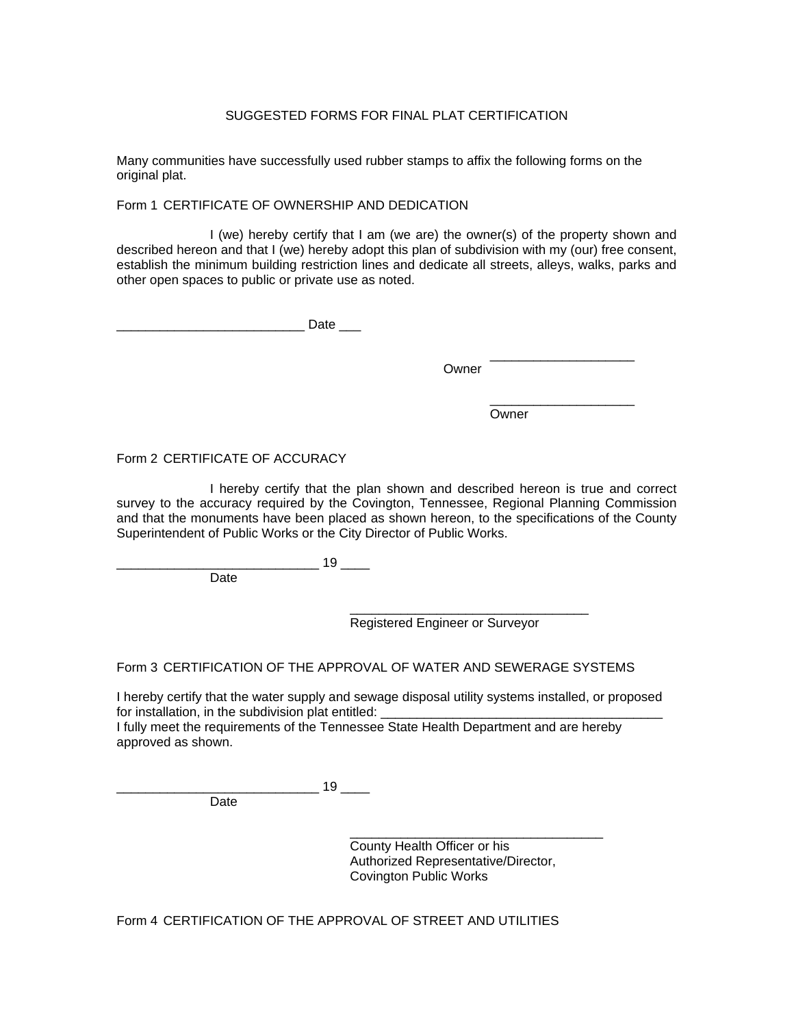### SUGGESTED FORMS FOR FINAL PLAT CERTIFICATION

Many communities have successfully used rubber stamps to affix the following forms on the original plat.

Form 1 CERTIFICATE OF OWNERSHIP AND DEDICATION

 I (we) hereby certify that I am (we are) the owner(s) of the property shown and described hereon and that I (we) hereby adopt this plan of subdivision with my (our) free consent, establish the minimum building restriction lines and dedicate all streets, alleys, walks, parks and other open spaces to public or private use as noted.

 $\Box$  denote the  $\Box$  denote  $\Box$  denote  $\Box$ 

 \_\_\_\_\_\_\_\_\_\_\_\_\_\_\_\_\_\_\_\_ **Contract Contract Contract Contract Contract Contract Contract Contract Contract Contract Contract Contract Contract Contract Contract Contract Contract Contract Contract Contract Contract Contract Contract Contract Contr** 

 \_\_\_\_\_\_\_\_\_\_\_\_\_\_\_\_\_\_\_\_ **Owner** Communication of the Communication of the Communication of the Communication of the Communication of the Communication of the Communication of the Communication of the Communication of the Communication of the Comm

Form 2 CERTIFICATE OF ACCURACY

 I hereby certify that the plan shown and described hereon is true and correct survey to the accuracy required by the Covington, Tennessee, Regional Planning Commission and that the monuments have been placed as shown hereon, to the specifications of the County Superintendent of Public Works or the City Director of Public Works.

> $\frac{19}{2}$ Date

 $\overline{\phantom{a}}$  , which is a set of the set of the set of the set of the set of the set of the set of the set of the set of the set of the set of the set of the set of the set of the set of the set of the set of the set of th Registered Engineer or Surveyor

Form 3 CERTIFICATION OF THE APPROVAL OF WATER AND SEWERAGE SYSTEMS

I hereby certify that the water supply and sewage disposal utility systems installed, or proposed for installation, in the subdivision plat entitled:

I fully meet the requirements of the Tennessee State Health Department and are hereby approved as shown.

Date

 $\overline{\phantom{a}}$  , which is a set of the set of the set of the set of the set of the set of the set of the set of the set of the set of the set of the set of the set of the set of the set of the set of the set of the set of th County Health Officer or his Authorized Representative/Director, Covington Public Works

Form 4 CERTIFICATION OF THE APPROVAL OF STREET AND UTILITIES

\_\_\_\_\_\_\_\_\_\_\_\_\_\_\_\_\_\_\_\_\_\_\_\_\_\_\_\_ 19 \_\_\_\_